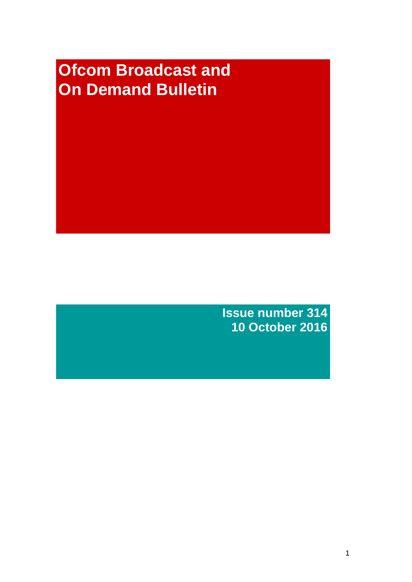# **Ofcom Broadcast and On Demand Bulletin**

**Issue number 314 10 October 2016**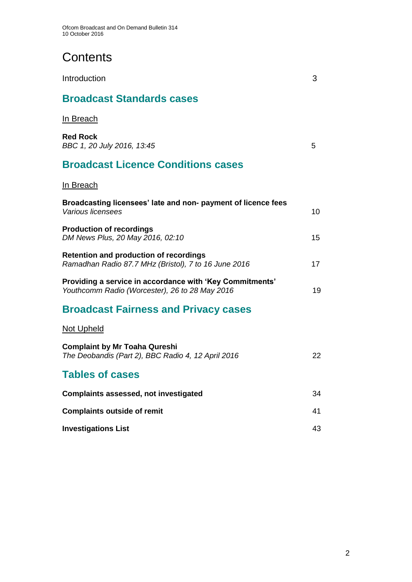# **Contents**

| Introduction                                                                                               | 3  |
|------------------------------------------------------------------------------------------------------------|----|
| <b>Broadcast Standards cases</b>                                                                           |    |
| In Breach                                                                                                  |    |
| <b>Red Rock</b><br>BBC 1, 20 July 2016, 13:45                                                              | 5  |
| <b>Broadcast Licence Conditions cases</b>                                                                  |    |
| In Breach                                                                                                  |    |
| Broadcasting licensees' late and non- payment of licence fees<br>Various licensees                         | 10 |
| <b>Production of recordings</b><br>DM News Plus, 20 May 2016, 02:10                                        | 15 |
| <b>Retention and production of recordings</b><br>Ramadhan Radio 87.7 MHz (Bristol), 7 to 16 June 2016      | 17 |
| Providing a service in accordance with 'Key Commitments'<br>Youthcomm Radio (Worcester), 26 to 28 May 2016 | 19 |
| <b>Broadcast Fairness and Privacy cases</b>                                                                |    |
| <u>Not Upheld</u>                                                                                          |    |
| <b>Complaint by Mr Toaha Qureshi</b><br>The Deobandis (Part 2), BBC Radio 4, 12 April 2016                 | 22 |
| <b>Tables of cases</b>                                                                                     |    |
| <b>Complaints assessed, not investigated</b>                                                               | 34 |
| <b>Complaints outside of remit</b>                                                                         | 41 |
| <b>Investigations List</b>                                                                                 | 43 |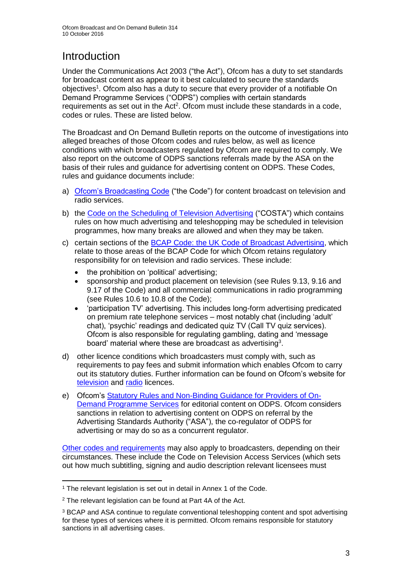# Introduction

Under the Communications Act 2003 ("the Act"), Ofcom has a duty to set standards for broadcast content as appear to it best calculated to secure the standards objectives<sup>1</sup>. Ofcom also has a duty to secure that every provider of a notifiable On Demand Programme Services ("ODPS") complies with certain standards requirements as set out in the Act<sup>2</sup>. Ofcom must include these standards in a code, codes or rules. These are listed below.

The Broadcast and On Demand Bulletin reports on the outcome of investigations into alleged breaches of those Ofcom codes and rules below, as well as licence conditions with which broadcasters regulated by Ofcom are required to comply. We also report on the outcome of ODPS sanctions referrals made by the ASA on the basis of their rules and guidance for advertising content on ODPS. These Codes, rules and guidance documents include:

- a) [Ofcom's Broadcasting Code](http://stakeholders.ofcom.org.uk/broadcasting/broadcast-codes/broadcast-code/) ("the Code") for content broadcast on television and radio services.
- b) the [Code on the Scheduling of Television Advertising](https://www.ofcom.org.uk/__data/assets/pdf_file/0014/32162/costa-april-2016.pdf) ("COSTA") which contains rules on how much advertising and teleshopping may be scheduled in television programmes, how many breaks are allowed and when they may be taken.
- c) certain sections of the [BCAP Code: the UK Code of Broadcast Advertising,](https://www.cap.org.uk/Advertising-Codes/Broadcast.aspx) which relate to those areas of the BCAP Code for which Ofcom retains regulatory responsibility for on television and radio services. These include:
	- the prohibition on 'political' advertising;
	- sponsorship and product placement on television (see Rules 9.13, 9.16 and 9.17 of the Code) and all commercial communications in radio programming (see Rules 10.6 to 10.8 of the Code);
	- 'participation TV' advertising. This includes long-form advertising predicated on premium rate telephone services – most notably chat (including 'adult' chat), 'psychic' readings and dedicated quiz TV (Call TV quiz services). Ofcom is also responsible for regulating gambling, dating and 'message board' material where these are broadcast as advertising<sup>3</sup>.
- d) other licence conditions which broadcasters must comply with, such as requirements to pay fees and submit information which enables Ofcom to carry out its statutory duties. Further information can be found on Ofcom's website for [television](http://licensing.ofcom.org.uk/tv-broadcast-licences/) and [radio](http://licensing.ofcom.org.uk/radio-broadcast-licensing/) licences.
- e) Ofcom's [Statutory Rules and Non-Binding Guidance for Providers of On-](https://www.ofcom.org.uk/__data/assets/pdf_file/0022/54922/rules_and_guidance.pdf)[Demand Programme Services](https://www.ofcom.org.uk/__data/assets/pdf_file/0022/54922/rules_and_guidance.pdf) for editorial content on ODPS. Ofcom considers sanctions in relation to advertising content on ODPS on referral by the Advertising Standards Authority ("ASA"), the co-regulator of ODPS for advertising or may do so as a concurrent regulator.

[Other codes and requirements](http://stakeholders.ofcom.org.uk/broadcasting/broadcast-codes/) may also apply to broadcasters, depending on their circumstances. These include the Code on Television Access Services (which sets out how much subtitling, signing and audio description relevant licensees must

<sup>1</sup> <sup>1</sup> The relevant legislation is set out in detail in Annex 1 of the Code.

<sup>&</sup>lt;sup>2</sup> The relevant legislation can be found at Part 4A of the Act.

<sup>3</sup> BCAP and ASA continue to regulate conventional teleshopping content and spot advertising for these types of services where it is permitted. Ofcom remains responsible for statutory sanctions in all advertising cases.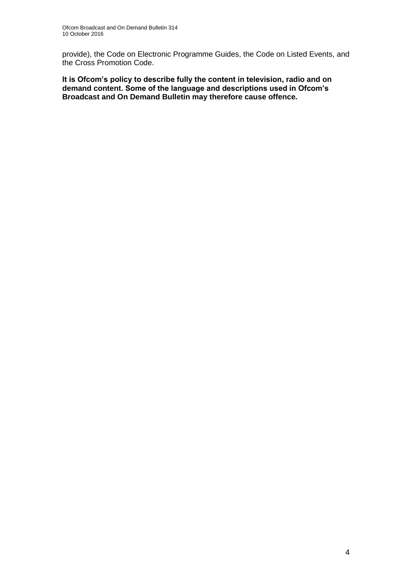provide), the Code on Electronic Programme Guides, the Code on Listed Events, and the Cross Promotion Code.

**It is Ofcom's policy to describe fully the content in television, radio and on demand content. Some of the language and descriptions used in Ofcom's Broadcast and On Demand Bulletin may therefore cause offence.**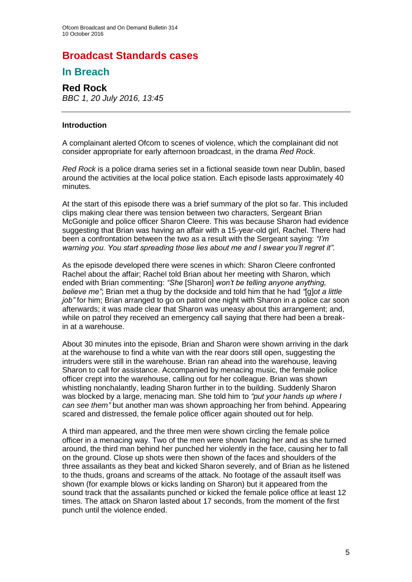# **Broadcast Standards cases**

### **In Breach**

### **Red Rock** *BBC 1, 20 July 2016, 13:45*

#### **Introduction**

A complainant alerted Ofcom to scenes of violence, which the complainant did not consider appropriate for early afternoon broadcast, in the drama *Red Rock*.

*Red Rock* is a police drama series set in a fictional seaside town near Dublin, based around the activities at the local police station. Each episode lasts approximately 40 minutes.

At the start of this episode there was a brief summary of the plot so far. This included clips making clear there was tension between two characters, Sergeant Brian McGonigle and police officer Sharon Cleere. This was because Sharon had evidence suggesting that Brian was having an affair with a 15-year-old girl, Rachel. There had been a confrontation between the two as a result with the Sergeant saying: *"I'm warning you. You start spreading those lies about me and I swear you'll regret it".*

As the episode developed there were scenes in which: Sharon Cleere confronted Rachel about the affair; Rachel told Brian about her meeting with Sharon, which ended with Brian commenting: *"She* [Sharon] *won't be telling anyone anything, believe me"*; Brian met a thug by the dockside and told him that he had *"*[g]*ot a little job"* for him; Brian arranged to go on patrol one night with Sharon in a police car soon afterwards; it was made clear that Sharon was uneasy about this arrangement; and, while on patrol they received an emergency call saying that there had been a breakin at a warehouse.

About 30 minutes into the episode, Brian and Sharon were shown arriving in the dark at the warehouse to find a white van with the rear doors still open, suggesting the intruders were still in the warehouse. Brian ran ahead into the warehouse, leaving Sharon to call for assistance. Accompanied by menacing music, the female police officer crept into the warehouse, calling out for her colleague. Brian was shown whistling nonchalantly, leading Sharon further in to the building. Suddenly Sharon was blocked by a large, menacing man. She told him to *"put your hands up where I can see them"* but another man was shown approaching her from behind. Appearing scared and distressed, the female police officer again shouted out for help.

A third man appeared, and the three men were shown circling the female police officer in a menacing way. Two of the men were shown facing her and as she turned around, the third man behind her punched her violently in the face, causing her to fall on the ground. Close up shots were then shown of the faces and shoulders of the three assailants as they beat and kicked Sharon severely, and of Brian as he listened to the thuds, groans and screams of the attack. No footage of the assault itself was shown (for example blows or kicks landing on Sharon) but it appeared from the sound track that the assailants punched or kicked the female police office at least 12 times. The attack on Sharon lasted about 17 seconds, from the moment of the first punch until the violence ended.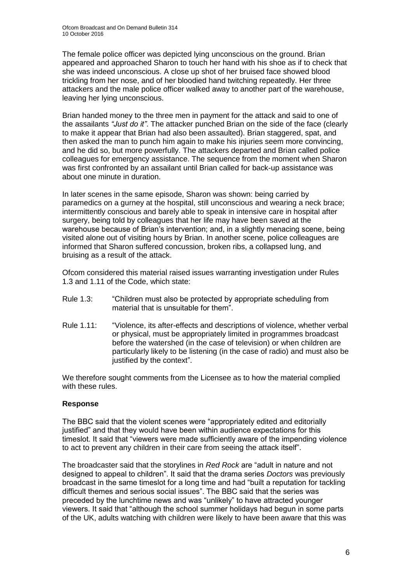The female police officer was depicted lying unconscious on the ground. Brian appeared and approached Sharon to touch her hand with his shoe as if to check that she was indeed unconscious. A close up shot of her bruised face showed blood trickling from her nose, and of her bloodied hand twitching repeatedly. Her three attackers and the male police officer walked away to another part of the warehouse, leaving her lying unconscious.

Brian handed money to the three men in payment for the attack and said to one of the assailants *"Just do it"*. The attacker punched Brian on the side of the face (clearly to make it appear that Brian had also been assaulted). Brian staggered, spat, and then asked the man to punch him again to make his injuries seem more convincing, and he did so, but more powerfully. The attackers departed and Brian called police colleagues for emergency assistance. The sequence from the moment when Sharon was first confronted by an assailant until Brian called for back-up assistance was about one minute in duration.

In later scenes in the same episode, Sharon was shown: being carried by paramedics on a gurney at the hospital, still unconscious and wearing a neck brace; intermittently conscious and barely able to speak in intensive care in hospital after surgery, being told by colleagues that her life may have been saved at the warehouse because of Brian's intervention; and, in a slightly menacing scene, being visited alone out of visiting hours by Brian. In another scene, police colleagues are informed that Sharon suffered concussion, broken ribs, a collapsed lung, and bruising as a result of the attack.

Ofcom considered this material raised issues warranting investigation under Rules 1.3 and 1.11 of the Code, which state:

- Rule 1.3: "Children must also be protected by appropriate scheduling from material that is unsuitable for them".
- Rule 1.11: "Violence, its after-effects and descriptions of violence, whether verbal or physical, must be appropriately limited in programmes broadcast before the watershed (in the case of television) or when children are particularly likely to be listening (in the case of radio) and must also be justified by the context".

We therefore sought comments from the Licensee as to how the material complied with these rules.

#### **Response**

The BBC said that the violent scenes were "appropriately edited and editorially justified" and that they would have been within audience expectations for this timeslot. It said that "viewers were made sufficiently aware of the impending violence to act to prevent any children in their care from seeing the attack itself".

The broadcaster said that the storylines in *Red Rock* are "adult in nature and not designed to appeal to children". It said that the drama series *Doctors* was previously broadcast in the same timeslot for a long time and had "built a reputation for tackling difficult themes and serious social issues". The BBC said that the series was preceded by the lunchtime news and was "unlikely" to have attracted younger viewers. It said that "although the school summer holidays had begun in some parts of the UK, adults watching with children were likely to have been aware that this was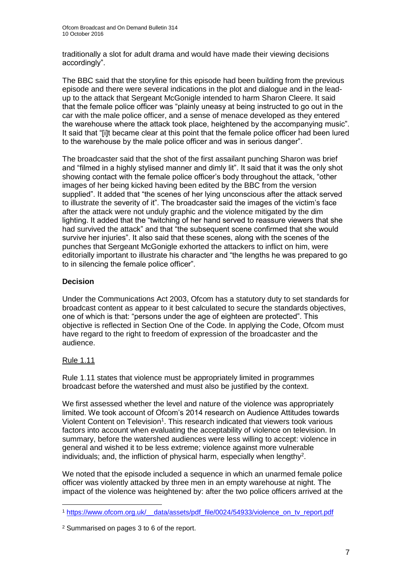traditionally a slot for adult drama and would have made their viewing decisions accordingly".

The BBC said that the storyline for this episode had been building from the previous episode and there were several indications in the plot and dialogue and in the leadup to the attack that Sergeant McGonigle intended to harm Sharon Cleere. It said that the female police officer was "plainly uneasy at being instructed to go out in the car with the male police officer, and a sense of menace developed as they entered the warehouse where the attack took place, heightened by the accompanying music". It said that "[i]t became clear at this point that the female police officer had been lured to the warehouse by the male police officer and was in serious danger".

The broadcaster said that the shot of the first assailant punching Sharon was brief and "filmed in a highly stylised manner and dimly lit". It said that it was the only shot showing contact with the female police officer's body throughout the attack, "other images of her being kicked having been edited by the BBC from the version supplied". It added that "the scenes of her lying unconscious after the attack served to illustrate the severity of it". The broadcaster said the images of the victim's face after the attack were not unduly graphic and the violence mitigated by the dim lighting. It added that the "twitching of her hand served to reassure viewers that she had survived the attack" and that "the subsequent scene confirmed that she would survive her injuries". It also said that these scenes, along with the scenes of the punches that Sergeant McGonigle exhorted the attackers to inflict on him, were editorially important to illustrate his character and "the lengths he was prepared to go to in silencing the female police officer".

#### **Decision**

Under the Communications Act 2003, Ofcom has a statutory duty to set standards for broadcast content as appear to it best calculated to secure the standards objectives, one of which is that: "persons under the age of eighteen are protected". This objective is reflected in Section One of the Code. In applying the Code, Ofcom must have regard to the right to freedom of expression of the broadcaster and the audience.

### Rule 1.11

Rule 1.11 states that violence must be appropriately limited in programmes broadcast before the watershed and must also be justified by the context.

We first assessed whether the level and nature of the violence was appropriately limited. We took account of Ofcom's 2014 research on Audience Attitudes towards Violent Content on Television<sup>1</sup>. This research indicated that viewers took various factors into account when evaluating the acceptability of violence on television. In summary, before the watershed audiences were less willing to accept: violence in general and wished it to be less extreme; violence against more vulnerable individuals; and, the infliction of physical harm, especially when lengthy<sup>2</sup>.

We noted that the episode included a sequence in which an unarmed female police officer was violently attacked by three men in an empty warehouse at night. The impact of the violence was heightened by: after the two police officers arrived at the

<sup>1</sup> <sup>1</sup> [https://www.ofcom.org.uk/\\_\\_data/assets/pdf\\_file/0024/54933/violence\\_on\\_tv\\_report.pdf](https://www.ofcom.org.uk/__data/assets/pdf_file/0024/54933/violence_on_tv_report.pdf)

<sup>2</sup> Summarised on pages 3 to 6 of the report.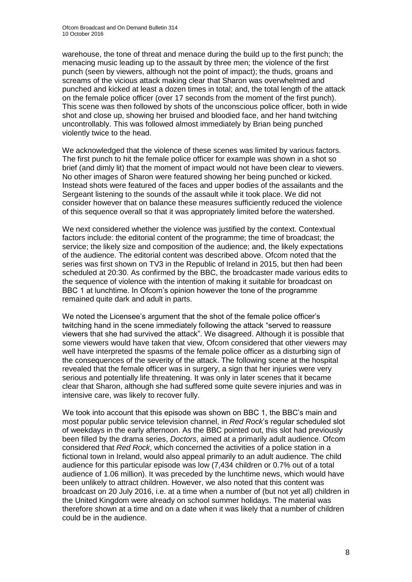warehouse, the tone of threat and menace during the build up to the first punch; the menacing music leading up to the assault by three men; the violence of the first punch (seen by viewers, although not the point of impact); the thuds, groans and screams of the vicious attack making clear that Sharon was overwhelmed and punched and kicked at least a dozen times in total; and, the total length of the attack on the female police officer (over 17 seconds from the moment of the first punch). This scene was then followed by shots of the unconscious police officer, both in wide shot and close up, showing her bruised and bloodied face, and her hand twitching uncontrollably. This was followed almost immediately by Brian being punched violently twice to the head.

We acknowledged that the violence of these scenes was limited by various factors. The first punch to hit the female police officer for example was shown in a shot so brief (and dimly lit) that the moment of impact would not have been clear to viewers. No other images of Sharon were featured showing her being punched or kicked. Instead shots were featured of the faces and upper bodies of the assailants and the Sergeant listening to the sounds of the assault while it took place. We did not consider however that on balance these measures sufficiently reduced the violence of this sequence overall so that it was appropriately limited before the watershed.

We next considered whether the violence was justified by the context. Contextual factors include: the editorial content of the programme; the time of broadcast; the service; the likely size and composition of the audience; and, the likely expectations of the audience. The editorial content was described above. Ofcom noted that the series was first shown on TV3 in the Republic of Ireland in 2015, but then had been scheduled at 20:30. As confirmed by the BBC, the broadcaster made various edits to the sequence of violence with the intention of making it suitable for broadcast on BBC 1 at lunchtime. In Ofcom's opinion however the tone of the programme remained quite dark and adult in parts.

We noted the Licensee's argument that the shot of the female police officer's twitching hand in the scene immediately following the attack "served to reassure viewers that she had survived the attack". We disagreed. Although it is possible that some viewers would have taken that view, Ofcom considered that other viewers may well have interpreted the spasms of the female police officer as a disturbing sign of the consequences of the severity of the attack. The following scene at the hospital revealed that the female officer was in surgery, a sign that her injuries were very serious and potentially life threatening. It was only in later scenes that it became clear that Sharon, although she had suffered some quite severe injuries and was in intensive care, was likely to recover fully.

We took into account that this episode was shown on BBC 1, the BBC's main and most popular public service television channel, in *Red Rock*'s regular scheduled slot of weekdays in the early afternoon. As the BBC pointed out, this slot had previously been filled by the drama series, *Doctors*, aimed at a primarily adult audience. Ofcom considered that *Red Rock*, which concerned the activities of a police station in a fictional town in Ireland, would also appeal primarily to an adult audience. The child audience for this particular episode was low (7,434 children or 0.7% out of a total audience of 1.06 million). It was preceded by the lunchtime news, which would have been unlikely to attract children. However, we also noted that this content was broadcast on 20 July 2016, i.e. at a time when a number of (but not yet all) children in the United Kingdom were already on school summer holidays. The material was therefore shown at a time and on a date when it was likely that a number of children could be in the audience.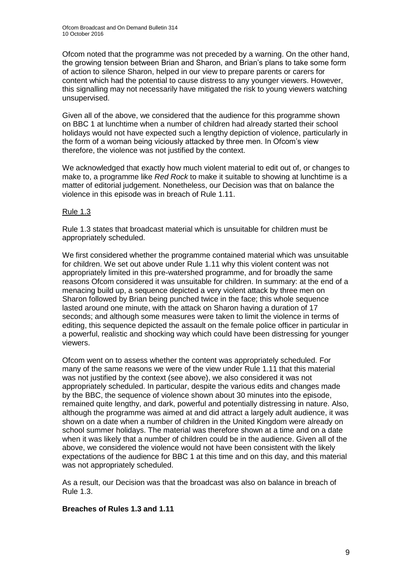Ofcom noted that the programme was not preceded by a warning. On the other hand, the growing tension between Brian and Sharon, and Brian's plans to take some form of action to silence Sharon, helped in our view to prepare parents or carers for content which had the potential to cause distress to any younger viewers. However, this signalling may not necessarily have mitigated the risk to young viewers watching unsupervised.

Given all of the above, we considered that the audience for this programme shown on BBC 1 at lunchtime when a number of children had already started their school holidays would not have expected such a lengthy depiction of violence, particularly in the form of a woman being viciously attacked by three men. In Ofcom's view therefore, the violence was not justified by the context.

We acknowledged that exactly how much violent material to edit out of, or changes to make to, a programme like *Red Rock* to make it suitable to showing at lunchtime is a matter of editorial judgement. Nonetheless, our Decision was that on balance the violence in this episode was in breach of Rule 1.11.

#### Rule 1.3

Rule 1.3 states that broadcast material which is unsuitable for children must be appropriately scheduled.

We first considered whether the programme contained material which was unsuitable for children. We set out above under Rule 1.11 why this violent content was not appropriately limited in this pre-watershed programme, and for broadly the same reasons Ofcom considered it was unsuitable for children. In summary: at the end of a menacing build up, a sequence depicted a very violent attack by three men on Sharon followed by Brian being punched twice in the face; this whole sequence lasted around one minute, with the attack on Sharon having a duration of 17 seconds; and although some measures were taken to limit the violence in terms of editing, this sequence depicted the assault on the female police officer in particular in a powerful, realistic and shocking way which could have been distressing for younger viewers.

Ofcom went on to assess whether the content was appropriately scheduled. For many of the same reasons we were of the view under Rule 1.11 that this material was not justified by the context (see above), we also considered it was not appropriately scheduled. In particular, despite the various edits and changes made by the BBC, the sequence of violence shown about 30 minutes into the episode, remained quite lengthy, and dark, powerful and potentially distressing in nature. Also, although the programme was aimed at and did attract a largely adult audience, it was shown on a date when a number of children in the United Kingdom were already on school summer holidays. The material was therefore shown at a time and on a date when it was likely that a number of children could be in the audience. Given all of the above, we considered the violence would not have been consistent with the likely expectations of the audience for BBC 1 at this time and on this day, and this material was not appropriately scheduled.

As a result, our Decision was that the broadcast was also on balance in breach of Rule 1.3.

#### **Breaches of Rules 1.3 and 1.11**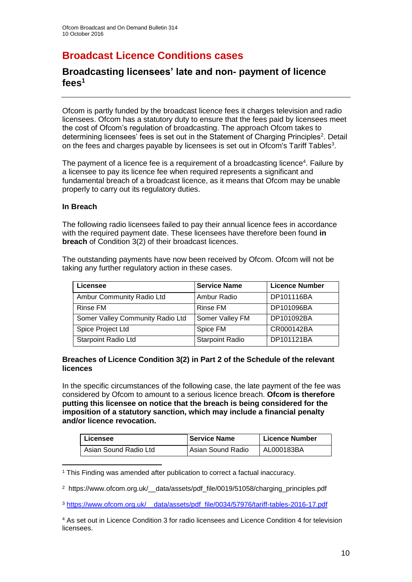# **Broadcast Licence Conditions cases**

### **Broadcasting licensees' late and non- payment of licence fees<sup>1</sup>**

Ofcom is partly funded by the broadcast licence fees it charges television and radio licensees. Ofcom has a statutory duty to ensure that the fees paid by licensees meet the cost of Ofcom's regulation of broadcasting. The approach Ofcom takes to determining licensees' fees is set out in the Statement of Charging Principles<sup>2</sup>. Detail on the fees and charges payable by licensees is set out in Ofcom's Tariff Tables<sup>3</sup>.

The payment of a licence fee is a requirement of a broadcasting licence<sup>4</sup>. Failure by a licensee to pay its licence fee when required represents a significant and fundamental breach of a broadcast licence, as it means that Ofcom may be unable properly to carry out its regulatory duties.

#### **In Breach**

1

The following radio licensees failed to pay their annual licence fees in accordance with the required payment date. These licensees have therefore been found **in breach** of Condition 3(2) of their broadcast licences.

The outstanding payments have now been received by Ofcom. Ofcom will not be taking any further regulatory action in these cases.

| Licensee                         | <b>Service Name</b>    | <b>Licence Number</b> |
|----------------------------------|------------------------|-----------------------|
| Ambur Community Radio Ltd        | Ambur Radio            | DP101116BA            |
| Rinse FM                         | Rinse FM               | DP101096BA            |
| Somer Valley Community Radio Ltd | Somer Valley FM        | DP101092BA            |
| Spice Project Ltd                | Spice FM               | CR000142BA            |
| <b>Starpoint Radio Ltd</b>       | <b>Starpoint Radio</b> | DP101121BA            |

#### **Breaches of Licence Condition 3(2) in Part 2 of the Schedule of the relevant licences**

In the specific circumstances of the following case, the late payment of the fee was considered by Ofcom to amount to a serious licence breach. **Ofcom is therefore putting this licensee on notice that the breach is being considered for the imposition of a statutory sanction, which may include a financial penalty and/or licence revocation.**

| Licensee              | <b>Service Name</b> | <b>Licence Number</b> |
|-----------------------|---------------------|-----------------------|
| Asian Sound Radio Ltd | l Asian Sound Radio | AL000183BA            |

<sup>1</sup> This Finding was amended after publication to correct a factual inaccuracy.

<sup>&</sup>lt;sup>2</sup> https://www.ofcom.org.uk/ data/assets/pdf file/0019/51058/charging\_principles.pdf

<sup>3</sup> https://www.ofcom.org.uk/\_\_data/assets/pdf\_file/0034/57976/tariff-tables-2016-17.pdf

<sup>4</sup> As set out in Licence Condition 3 for radio licensees and Licence Condition 4 for television licensees.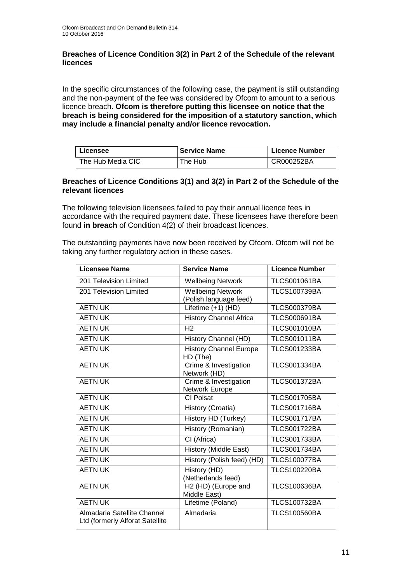#### **Breaches of Licence Condition 3(2) in Part 2 of the Schedule of the relevant licences**

In the specific circumstances of the following case, the payment is still outstanding and the non-payment of the fee was considered by Ofcom to amount to a serious licence breach. **Ofcom is therefore putting this licensee on notice that the breach is being considered for the imposition of a statutory sanction, which may include a financial penalty and/or licence revocation.**

| Licensee          | <b>Service Name</b> | <b>Licence Number</b> |
|-------------------|---------------------|-----------------------|
| The Hub Media CIC | The Hub             | CR000252BA            |

#### **Breaches of Licence Conditions 3(1) and 3(2) in Part 2 of the Schedule of the relevant licences**

The following television licensees failed to pay their annual licence fees in accordance with the required payment date. These licensees have therefore been found **in breach** of Condition 4(2) of their broadcast licences.

The outstanding payments have now been received by Ofcom. Ofcom will not be taking any further regulatory action in these cases.

| <b>Licensee Name</b>                                           | <b>Service Name</b>                                | <b>Licence Number</b> |
|----------------------------------------------------------------|----------------------------------------------------|-----------------------|
| 201 Television Limited                                         | <b>Wellbeing Network</b>                           | <b>TLCS001061BA</b>   |
| 201 Television Limited                                         | <b>Wellbeing Network</b><br>(Polish language feed) | <b>TLCS100739BA</b>   |
| <b>AETN UK</b>                                                 | Lifetime (+1) (HD)                                 | <b>TLCS000379BA</b>   |
| <b>AETN UK</b>                                                 | <b>History Channel Africa</b>                      | <b>TLCS000691BA</b>   |
| <b>AETN UK</b>                                                 | H <sub>2</sub>                                     | <b>TLCS001010BA</b>   |
| <b>AETN UK</b>                                                 | History Channel (HD)                               | <b>TLCS001011BA</b>   |
| <b>AETN UK</b>                                                 | <b>History Channel Europe</b><br>HD (The)          | <b>TLCS001233BA</b>   |
| <b>AETN UK</b>                                                 | Crime & Investigation<br>Network (HD)              | <b>TLCS001334BA</b>   |
| <b>AETN UK</b>                                                 | Crime & Investigation<br>Network Europe            | <b>TLCS001372BA</b>   |
| <b>AETN UK</b>                                                 | CI Polsat                                          | <b>TLCS001705BA</b>   |
| <b>AETN UK</b>                                                 | History (Croatia)                                  | <b>TLCS001716BA</b>   |
| <b>AETN UK</b>                                                 | <b>History HD (Turkey)</b>                         | <b>TLCS001717BA</b>   |
| <b>AETN UK</b>                                                 | History (Romanian)                                 | <b>TLCS001722BA</b>   |
| <b>AETN UK</b>                                                 | CI (Africa)                                        | <b>TLCS001733BA</b>   |
| <b>AETN UK</b>                                                 | History (Middle East)                              | <b>TLCS001734BA</b>   |
| <b>AETN UK</b>                                                 | History (Polish feed) (HD)                         | <b>TLCS100077BA</b>   |
| <b>AETN UK</b>                                                 | History (HD)<br>(Netherlands feed)                 | <b>TLCS100220BA</b>   |
| <b>AETN UK</b>                                                 | $\overline{H2}$ (HD) (Europe and<br>Middle East)   | <b>TLCS100636BA</b>   |
| <b>AETN UK</b>                                                 | Lifetime (Poland)                                  | <b>TLCS100732BA</b>   |
| Almadaria Satellite Channel<br>Ltd (formerly Alforat Satellite | Almadaria                                          | <b>TLCS100560BA</b>   |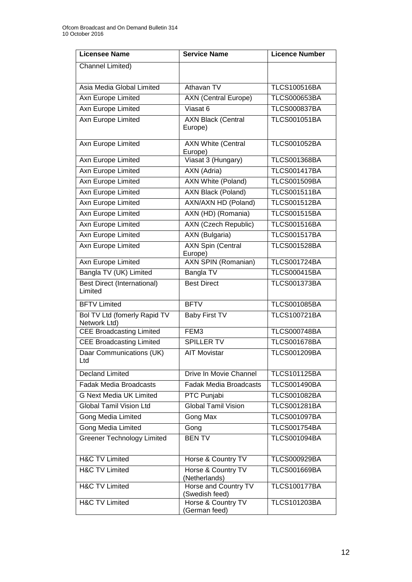| <b>Licensee Name</b>                          | <b>Service Name</b>                    | <b>Licence Number</b> |
|-----------------------------------------------|----------------------------------------|-----------------------|
| Channel Limited)                              |                                        |                       |
| Asia Media Global Limited                     | Athavan TV                             | <b>TLCS100516BA</b>   |
| Axn Europe Limited                            | <b>AXN (Central Europe)</b>            | <b>TLCS000653BA</b>   |
| <b>Axn Europe Limited</b>                     | Viasat 6                               | <b>TLCS000837BA</b>   |
| Axn Europe Limited                            | <b>AXN Black (Central</b><br>Europe)   | <b>TLCS001051BA</b>   |
| Axn Europe Limited                            | <b>AXN White (Central</b><br>Europe)   | <b>TLCS001052BA</b>   |
| Axn Europe Limited                            | Viasat 3 (Hungary)                     | <b>TLCS001368BA</b>   |
| Axn Europe Limited                            | AXN (Adria)                            | <b>TLCS001417BA</b>   |
| Axn Europe Limited                            | <b>AXN White (Poland)</b>              | <b>TLCS001509BA</b>   |
| Axn Europe Limited                            | <b>AXN Black (Poland)</b>              | <b>TLCS001511BA</b>   |
| Axn Europe Limited                            | AXN/AXN HD (Poland)                    | <b>TLCS001512BA</b>   |
| <b>Axn Europe Limited</b>                     | AXN (HD) (Romania)                     | <b>TLCS001515BA</b>   |
| Axn Europe Limited                            | <b>AXN</b> (Czech Republic)            | <b>TLCS001516BA</b>   |
| <b>Axn Europe Limited</b>                     | <b>AXN</b> (Bulgaria)                  | <b>TLCS001517BA</b>   |
| <b>Axn Europe Limited</b>                     | <b>AXN Spin (Central</b><br>Europe)    | <b>TLCS001528BA</b>   |
| <b>Axn Europe Limited</b>                     | <b>AXN SPIN (Romanian)</b>             | <b>TLCS001724BA</b>   |
| Bangla TV (UK) Limited                        | Bangla TV                              | <b>TLCS000415BA</b>   |
| <b>Best Direct (International)</b><br>Limited | <b>Best Direct</b>                     | <b>TLCS001373BA</b>   |
| <b>BFTV Limited</b>                           | <b>BFTV</b>                            | <b>TLCS001085BA</b>   |
| Bol TV Ltd (fomerly Rapid TV<br>Network Ltd)  | <b>Baby First TV</b>                   | <b>TLCS100721BA</b>   |
| <b>CEE Broadcasting Limited</b>               | FEM3                                   | <b>TLCS000748BA</b>   |
| <b>CEE Broadcasting Limited</b>               | <b>SPILLER TV</b>                      | <b>TLCS001678BA</b>   |
| Daar Communications (UK)<br>Ltd               | <b>AIT Movistar</b>                    | <b>TLCS001209BA</b>   |
| <b>Decland Limited</b>                        | Drive In Movie Channel                 | <b>TLCS101125BA</b>   |
| <b>Fadak Media Broadcasts</b>                 | <b>Fadak Media Broadcasts</b>          | <b>TLCS001490BA</b>   |
| <b>G Next Media UK Limited</b>                | PTC Punjabi                            | <b>TLCS001082BA</b>   |
| <b>Global Tamil Vision Ltd</b>                | <b>Global Tamil Vision</b>             | <b>TLCS001281BA</b>   |
| <b>Gong Media Limited</b>                     | Gong Max                               | <b>TLCS001097BA</b>   |
| Gong Media Limited                            | Gong                                   | <b>TLCS001754BA</b>   |
| <b>Greener Technology Limited</b>             | <b>BENTV</b>                           | <b>TLCS001094BA</b>   |
| <b>H&amp;C TV Limited</b>                     | Horse & Country TV                     | <b>TLCS000929BA</b>   |
| <b>H&amp;C TV Limited</b>                     | Horse & Country TV<br>(Netherlands)    | <b>TLCS001669BA</b>   |
| <b>H&amp;C TV Limited</b>                     | Horse and Country TV<br>(Swedish feed) | <b>TLCS100177BA</b>   |
| <b>H&amp;C TV Limited</b>                     | Horse & Country TV<br>(German feed)    | <b>TLCS101203BA</b>   |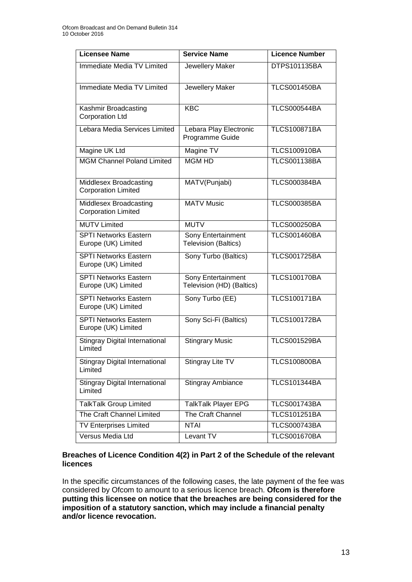| <b>Licensee Name</b>                                 | <b>Service Name</b>                               | <b>Licence Number</b> |
|------------------------------------------------------|---------------------------------------------------|-----------------------|
| Immediate Media TV Limited                           | Jewellery Maker                                   | DTPS101135BA          |
| Immediate Media TV Limited                           | Jewellery Maker                                   | <b>TLCS001450BA</b>   |
| Kashmir Broadcasting<br><b>Corporation Ltd</b>       | <b>KBC</b>                                        | <b>TLCS000544BA</b>   |
| Lebara Media Services Limited                        | Lebara Play Electronic<br>Programme Guide         | <b>TLCS100871BA</b>   |
| Magine UK Ltd                                        | Magine TV                                         | <b>TLCS100910BA</b>   |
| <b>MGM Channel Poland Limited</b>                    | <b>MGM HD</b>                                     | <b>TLCS001138BA</b>   |
| Middlesex Broadcasting<br><b>Corporation Limited</b> | MATV(Punjabi)                                     | <b>TLCS000384BA</b>   |
| Middlesex Broadcasting<br><b>Corporation Limited</b> | <b>MATV Music</b>                                 | <b>TLCS000385BA</b>   |
| <b>MUTV Limited</b>                                  | <b>MUTV</b>                                       | <b>TLCS000250BA</b>   |
| <b>SPTI Networks Eastern</b><br>Europe (UK) Limited  | Sony Entertainment<br><b>Television (Baltics)</b> | <b>TLCS001460BA</b>   |
| <b>SPTI Networks Eastern</b><br>Europe (UK) Limited  | Sony Turbo (Baltics)                              | <b>TLCS001725BA</b>   |
| <b>SPTI Networks Eastern</b><br>Europe (UK) Limited  | Sony Entertainment<br>Television (HD) (Baltics)   | <b>TLCS100170BA</b>   |
| <b>SPTI Networks Eastern</b><br>Europe (UK) Limited  | Sony Turbo (EE)                                   | <b>TLCS100171BA</b>   |
| <b>SPTI Networks Eastern</b><br>Europe (UK) Limited  | Sony Sci-Fi (Baltics)                             | <b>TLCS100172BA</b>   |
| <b>Stingray Digital International</b><br>Limited     | <b>Stingrary Music</b>                            | <b>TLCS001529BA</b>   |
| <b>Stingray Digital International</b><br>Limited     | Stingray Lite TV                                  | <b>TLCS100800BA</b>   |
| <b>Stingray Digital International</b><br>Limited     | Stingray Ambiance                                 | <b>TLCS101344BA</b>   |
| <b>TalkTalk Group Limited</b>                        | TalkTalk Player EPG                               | <b>TLCS001743BA</b>   |
| The Craft Channel Limited                            | The Craft Channel                                 | <b>TLCS101251BA</b>   |
| <b>TV Enterprises Limited</b>                        | <b>NTAI</b>                                       | <b>TLCS000743BA</b>   |
| Versus Media Ltd                                     | Levant TV                                         | <b>TLCS001670BA</b>   |

#### **Breaches of Licence Condition 4(2) in Part 2 of the Schedule of the relevant licences**

In the specific circumstances of the following cases, the late payment of the fee was considered by Ofcom to amount to a serious licence breach. **Ofcom is therefore putting this licensee on notice that the breaches are being considered for the imposition of a statutory sanction, which may include a financial penalty and/or licence revocation.**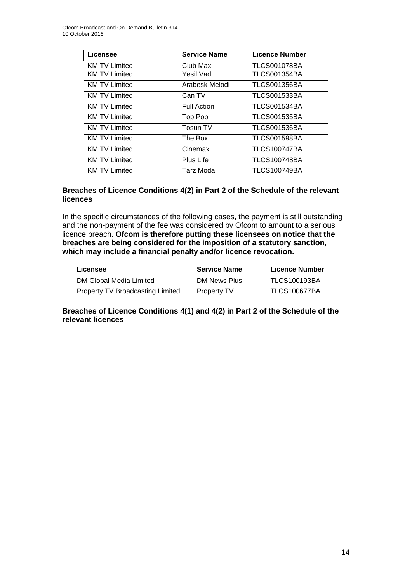| Licensee             | <b>Service Name</b> | <b>Licence Number</b> |
|----------------------|---------------------|-----------------------|
| <b>KM TV Limited</b> | Club Max            | <b>TLCS001078BA</b>   |
| <b>KM TV Limited</b> | Yesil Vadi          | <b>TLCS001354BA</b>   |
| <b>KM TV Limited</b> | Arabesk Melodi      | <b>TLCS001356BA</b>   |
| <b>KM TV Limited</b> | Can TV              | <b>TLCS001533BA</b>   |
| <b>KM TV Limited</b> | <b>Full Action</b>  | <b>TLCS001534BA</b>   |
| <b>KM TV Limited</b> | Top Pop             | <b>TLCS001535BA</b>   |
| <b>KM TV Limited</b> | <b>Tosun TV</b>     | <b>TLCS001536BA</b>   |
| <b>KM TV Limited</b> | The Box             | <b>TLCS001598BA</b>   |
| <b>KM TV Limited</b> | Cinemax             | <b>TLCS100747BA</b>   |
| <b>KM TV Limited</b> | Plus Life           | <b>TLCS100748BA</b>   |
| <b>KM TV Limited</b> | Tarz Moda           | <b>TLCS100749BA</b>   |

#### **Breaches of Licence Conditions 4(2) in Part 2 of the Schedule of the relevant licences**

In the specific circumstances of the following cases, the payment is still outstanding and the non-payment of the fee was considered by Ofcom to amount to a serious licence breach. **Ofcom is therefore putting these licensees on notice that the breaches are being considered for the imposition of a statutory sanction, which may include a financial penalty and/or licence revocation.**

| Licensee                                | <b>Service Name</b> | <b>Licence Number</b> |
|-----------------------------------------|---------------------|-----------------------|
| DM Global Media Limited                 | DM News Plus        | <b>TLCS100193BA</b>   |
| <b>Property TV Broadcasting Limited</b> | <b>Property TV</b>  | <b>TLCS100677BA</b>   |

**Breaches of Licence Conditions 4(1) and 4(2) in Part 2 of the Schedule of the relevant licences**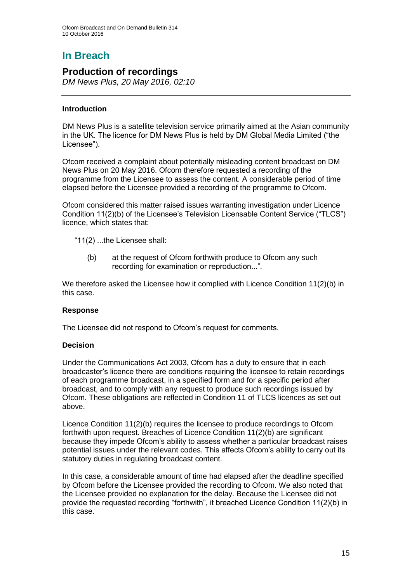# **In Breach**

### **Production of recordings**

*DM News Plus, 20 May 2016, 02:10* 

#### **Introduction**

DM News Plus is a satellite television service primarily aimed at the Asian community in the UK. The licence for DM News Plus is held by DM Global Media Limited ("the Licensee").

Ofcom received a complaint about potentially misleading content broadcast on DM News Plus on 20 May 2016. Ofcom therefore requested a recording of the programme from the Licensee to assess the content. A considerable period of time elapsed before the Licensee provided a recording of the programme to Ofcom.

Ofcom considered this matter raised issues warranting investigation under Licence Condition 11(2)(b) of the Licensee's Television Licensable Content Service ("TLCS") licence, which states that:

"11(2) ...the Licensee shall:

(b) at the request of Ofcom forthwith produce to Ofcom any such recording for examination or reproduction...".

We therefore asked the Licensee how it complied with Licence Condition 11(2)(b) in this case.

#### **Response**

The Licensee did not respond to Ofcom's request for comments.

#### **Decision**

Under the Communications Act 2003, Ofcom has a duty to ensure that in each broadcaster's licence there are conditions requiring the licensee to retain recordings of each programme broadcast, in a specified form and for a specific period after broadcast, and to comply with any request to produce such recordings issued by Ofcom. These obligations are reflected in Condition 11 of TLCS licences as set out above.

Licence Condition 11(2)(b) requires the licensee to produce recordings to Ofcom forthwith upon request. Breaches of Licence Condition 11(2)(b) are significant because they impede Ofcom's ability to assess whether a particular broadcast raises potential issues under the relevant codes. This affects Ofcom's ability to carry out its statutory duties in regulating broadcast content.

In this case, a considerable amount of time had elapsed after the deadline specified by Ofcom before the Licensee provided the recording to Ofcom. We also noted that the Licensee provided no explanation for the delay. Because the Licensee did not provide the requested recording "forthwith", it breached Licence Condition 11(2)(b) in this case.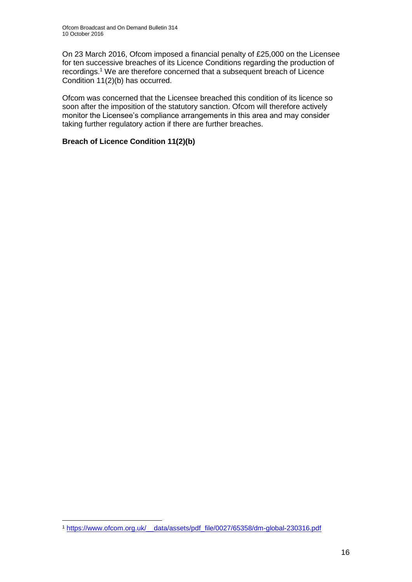On 23 March 2016, Ofcom imposed a financial penalty of £25,000 on the Licensee for ten successive breaches of its Licence Conditions regarding the production of recordings.<sup>1</sup> We are therefore concerned that a subsequent breach of Licence Condition 11(2)(b) has occurred.

Ofcom was concerned that the Licensee breached this condition of its licence so soon after the imposition of the statutory sanction. Ofcom will therefore actively monitor the Licensee's compliance arrangements in this area and may consider taking further regulatory action if there are further breaches.

#### **Breach of Licence Condition 11(2)(b)**

<sup>1</sup> <sup>1</sup> [https://www.ofcom.org.uk/\\_\\_data/assets/pdf\\_file/0027/65358/dm-global-230316.pdf](https://www.ofcom.org.uk/__data/assets/pdf_file/0027/65358/dm-global-230316.pdf)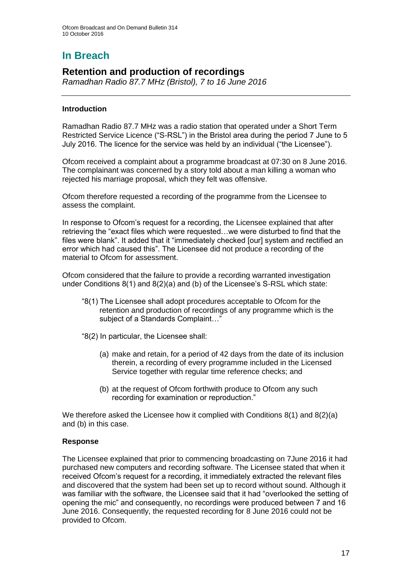# **In Breach**

### **Retention and production of recordings**

*Ramadhan Radio 87.7 MHz (Bristol), 7 to 16 June 2016*

#### **Introduction**

Ramadhan Radio 87.7 MHz was a radio station that operated under a Short Term Restricted Service Licence ("S-RSL") in the Bristol area during the period 7 June to 5 July 2016. The licence for the service was held by an individual ("the Licensee").

Ofcom received a complaint about a programme broadcast at 07:30 on 8 June 2016. The complainant was concerned by a story told about a man killing a woman who rejected his marriage proposal, which they felt was offensive.

Ofcom therefore requested a recording of the programme from the Licensee to assess the complaint.

In response to Ofcom's request for a recording, the Licensee explained that after retrieving the "exact files which were requested…we were disturbed to find that the files were blank". It added that it "immediately checked [our] system and rectified an error which had caused this". The Licensee did not produce a recording of the material to Ofcom for assessment.

Ofcom considered that the failure to provide a recording warranted investigation under Conditions 8(1) and 8(2)(a) and (b) of the Licensee's S-RSL which state:

- "8(1) The Licensee shall adopt procedures acceptable to Ofcom for the retention and production of recordings of any programme which is the subject of a Standards Complaint…"
- "8(2) In particular, the Licensee shall:
	- (a) make and retain, for a period of 42 days from the date of its inclusion therein, a recording of every programme included in the Licensed Service together with regular time reference checks; and
	- (b) at the request of Ofcom forthwith produce to Ofcom any such recording for examination or reproduction."

We therefore asked the Licensee how it complied with Conditions 8(1) and 8(2)(a) and (b) in this case.

#### **Response**

The Licensee explained that prior to commencing broadcasting on 7June 2016 it had purchased new computers and recording software. The Licensee stated that when it received Ofcom's request for a recording, it immediately extracted the relevant files and discovered that the system had been set up to record without sound. Although it was familiar with the software, the Licensee said that it had "overlooked the setting of opening the mic" and consequently, no recordings were produced between 7 and 16 June 2016. Consequently, the requested recording for 8 June 2016 could not be provided to Ofcom.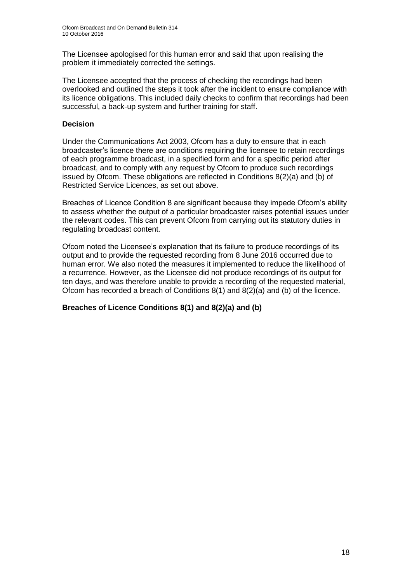The Licensee apologised for this human error and said that upon realising the problem it immediately corrected the settings.

The Licensee accepted that the process of checking the recordings had been overlooked and outlined the steps it took after the incident to ensure compliance with its licence obligations. This included daily checks to confirm that recordings had been successful, a back-up system and further training for staff.

#### **Decision**

Under the Communications Act 2003, Ofcom has a duty to ensure that in each broadcaster's licence there are conditions requiring the licensee to retain recordings of each programme broadcast, in a specified form and for a specific period after broadcast, and to comply with any request by Ofcom to produce such recordings issued by Ofcom. These obligations are reflected in Conditions 8(2)(a) and (b) of Restricted Service Licences, as set out above.

Breaches of Licence Condition 8 are significant because they impede Ofcom's ability to assess whether the output of a particular broadcaster raises potential issues under the relevant codes. This can prevent Ofcom from carrying out its statutory duties in regulating broadcast content.

Ofcom noted the Licensee's explanation that its failure to produce recordings of its output and to provide the requested recording from 8 June 2016 occurred due to human error. We also noted the measures it implemented to reduce the likelihood of a recurrence. However, as the Licensee did not produce recordings of its output for ten days, and was therefore unable to provide a recording of the requested material, Ofcom has recorded a breach of Conditions  $8(1)$  and  $8(2)(a)$  and (b) of the licence.

#### **Breaches of Licence Conditions 8(1) and 8(2)(a) and (b)**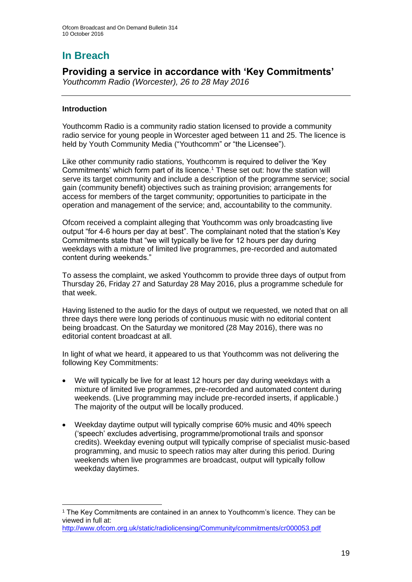# **In Breach**

### **Providing a service in accordance with 'Key Commitments'**

*Youthcomm Radio (Worcester), 26 to 28 May 2016*

#### **Introduction**

1

Youthcomm Radio is a community radio station licensed to provide a community radio service for young people in Worcester aged between 11 and 25. The licence is held by Youth Community Media ("Youthcomm" or "the Licensee").

Like other community radio stations, Youthcomm is required to deliver the 'Key Commitments' which form part of its licence.<sup>1</sup> These set out: how the station will serve its target community and include a description of the programme service; social gain (community benefit) objectives such as training provision; arrangements for access for members of the target community; opportunities to participate in the operation and management of the service; and, accountability to the community.

Ofcom received a complaint alleging that Youthcomm was only broadcasting live output "for 4-6 hours per day at best". The complainant noted that the station's Key Commitments state that "we will typically be live for 12 hours per day during weekdays with a mixture of limited live programmes, pre-recorded and automated content during weekends."

To assess the complaint, we asked Youthcomm to provide three days of output from Thursday 26, Friday 27 and Saturday 28 May 2016, plus a programme schedule for that week.

Having listened to the audio for the days of output we requested, we noted that on all three days there were long periods of continuous music with no editorial content being broadcast. On the Saturday we monitored (28 May 2016), there was no editorial content broadcast at all

In light of what we heard, it appeared to us that Youthcomm was not delivering the following Key Commitments:

- We will typically be live for at least 12 hours per day during weekdays with a mixture of limited live programmes, pre-recorded and automated content during weekends. (Live programming may include pre-recorded inserts, if applicable.) The majority of the output will be locally produced.
- Weekday daytime output will typically comprise 60% music and 40% speech ('speech' excludes advertising, programme/promotional trails and sponsor credits). Weekday evening output will typically comprise of specialist music-based programming, and music to speech ratios may alter during this period. During weekends when live programmes are broadcast, output will typically follow weekday daytimes.

<sup>1</sup> The Key Commitments are contained in an annex to Youthcomm's licence. They can be viewed in full at:

<http://www.ofcom.org.uk/static/radiolicensing/Community/commitments/cr000053.pdf>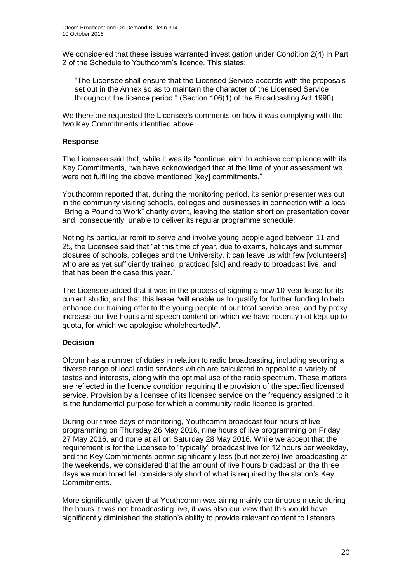We considered that these issues warranted investigation under Condition 2(4) in Part 2 of the Schedule to Youthcomm's licence. This states:

"The Licensee shall ensure that the Licensed Service accords with the proposals set out in the Annex so as to maintain the character of the Licensed Service throughout the licence period." (Section 106(1) of the Broadcasting Act 1990).

We therefore requested the Licensee's comments on how it was complying with the two Key Commitments identified above.

#### **Response**

The Licensee said that, while it was its "continual aim" to achieve compliance with its Key Commitments, "we have acknowledged that at the time of your assessment we were not fulfilling the above mentioned [key] commitments."

Youthcomm reported that, during the monitoring period, its senior presenter was out in the community visiting schools, colleges and businesses in connection with a local "Bring a Pound to Work" charity event, leaving the station short on presentation cover and, consequently, unable to deliver its regular programme schedule.

Noting its particular remit to serve and involve young people aged between 11 and 25, the Licensee said that "at this time of year, due to exams, holidays and summer closures of schools, colleges and the University, it can leave us with few [volunteers] who are as yet sufficiently trained, practiced [sic] and ready to broadcast live, and that has been the case this year."

The Licensee added that it was in the process of signing a new 10-year lease for its current studio, and that this lease "will enable us to qualify for further funding to help enhance our training offer to the young people of our total service area, and by proxy increase our live hours and speech content on which we have recently not kept up to quota, for which we apologise wholeheartedly".

#### **Decision**

Ofcom has a number of duties in relation to radio broadcasting, including securing a diverse range of local radio services which are calculated to appeal to a variety of tastes and interests, along with the optimal use of the radio spectrum. These matters are reflected in the licence condition requiring the provision of the specified licensed service. Provision by a licensee of its licensed service on the frequency assigned to it is the fundamental purpose for which a community radio licence is granted.

During our three days of monitoring, Youthcomm broadcast four hours of live programming on Thursday 26 May 2016, nine hours of live programming on Friday 27 May 2016, and none at all on Saturday 28 May 2016. While we accept that the requirement is for the Licensee to "typically" broadcast live for 12 hours per weekday, and the Key Commitments permit significantly less (but not zero) live broadcasting at the weekends, we considered that the amount of live hours broadcast on the three days we monitored fell considerably short of what is required by the station's Key Commitments.

More significantly, given that Youthcomm was airing mainly continuous music during the hours it was not broadcasting live, it was also our view that this would have significantly diminished the station's ability to provide relevant content to listeners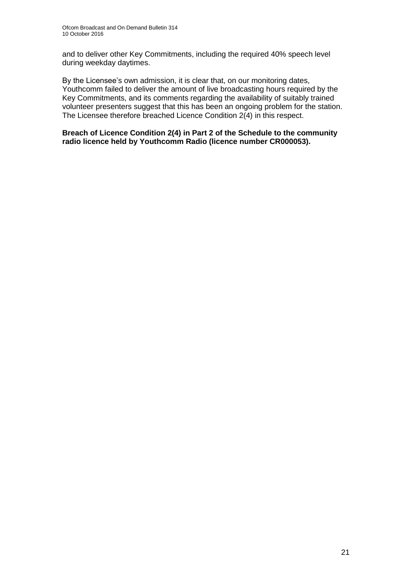and to deliver other Key Commitments, including the required 40% speech level during weekday daytimes.

By the Licensee's own admission, it is clear that, on our monitoring dates, Youthcomm failed to deliver the amount of live broadcasting hours required by the Key Commitments, and its comments regarding the availability of suitably trained volunteer presenters suggest that this has been an ongoing problem for the station. The Licensee therefore breached Licence Condition 2(4) in this respect.

**Breach of Licence Condition 2(4) in Part 2 of the Schedule to the community radio licence held by Youthcomm Radio (licence number CR000053).**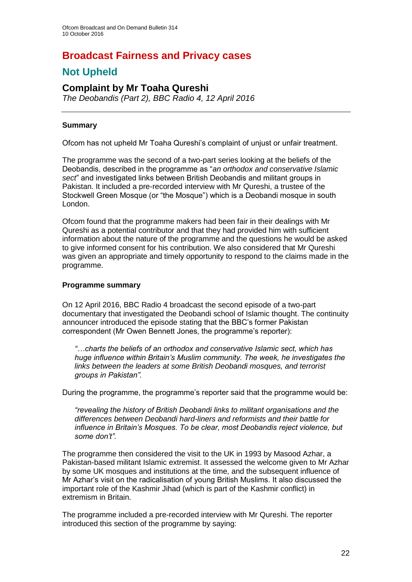# **Broadcast Fairness and Privacy cases**

# **Not Upheld**

### **Complaint by Mr Toaha Qureshi**

*The Deobandis (Part 2), BBC Radio 4, 12 April 2016*

#### **Summary**

Ofcom has not upheld Mr Toaha Qureshi's complaint of unjust or unfair treatment.

The programme was the second of a two-part series looking at the beliefs of the Deobandis, described in the programme as "*an orthodox and conservative Islamic sect*" and investigated links between British Deobandis and militant groups in Pakistan. It included a pre-recorded interview with Mr Qureshi, a trustee of the Stockwell Green Mosque (or "the Mosque") which is a Deobandi mosque in south London.

Ofcom found that the programme makers had been fair in their dealings with Mr Qureshi as a potential contributor and that they had provided him with sufficient information about the nature of the programme and the questions he would be asked to give informed consent for his contribution. We also considered that Mr Qureshi was given an appropriate and timely opportunity to respond to the claims made in the programme.

#### **Programme summary**

On 12 April 2016, BBC Radio 4 broadcast the second episode of a two-part documentary that investigated the Deobandi school of Islamic thought. The continuity announcer introduced the episode stating that the BBC's former Pakistan correspondent (Mr Owen Bennett Jones, the programme's reporter):

*"…charts the beliefs of an orthodox and conservative Islamic sect, which has huge influence within Britain's Muslim community. The week, he investigates the links between the leaders at some British Deobandi mosques, and terrorist groups in Pakistan".*

During the programme, the programme's reporter said that the programme would be:

*"revealing the history of British Deobandi links to militant organisations and the differences between Deobandi hard-liners and reformists and their battle for influence in Britain's Mosques. To be clear, most Deobandis reject violence, but some don't".* 

The programme then considered the visit to the UK in 1993 by Masood Azhar, a Pakistan-based militant Islamic extremist. It assessed the welcome given to Mr Azhar by some UK mosques and institutions at the time, and the subsequent influence of Mr Azhar's visit on the radicalisation of young British Muslims. It also discussed the important role of the Kashmir Jihad (which is part of the Kashmir conflict) in extremism in Britain.

The programme included a pre-recorded interview with Mr Qureshi. The reporter introduced this section of the programme by saying: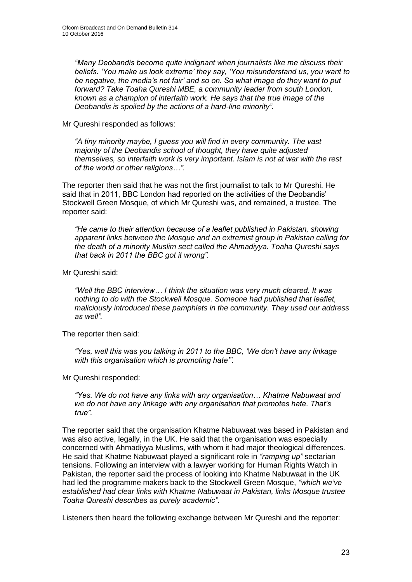*"Many Deobandis become quite indignant when journalists like me discuss their beliefs. 'You make us look extreme' they say, 'You misunderstand us, you want to be negative, the media's not fair' and so on. So what image do they want to put forward? Take Toaha Qureshi MBE, a community leader from south London, known as a champion of interfaith work. He says that the true image of the Deobandis is spoiled by the actions of a hard-line minority".*

#### Mr Qureshi responded as follows:

*"A tiny minority maybe, I guess you will find in every community. The vast majority of the Deobandis school of thought, they have quite adjusted themselves, so interfaith work is very important. Islam is not at war with the rest of the world or other religions…".* 

The reporter then said that he was not the first journalist to talk to Mr Qureshi. He said that in 2011, BBC London had reported on the activities of the Deobandis' Stockwell Green Mosque, of which Mr Qureshi was, and remained, a trustee. The reporter said:

*"He came to their attention because of a leaflet published in Pakistan, showing apparent links between the Mosque and an extremist group in Pakistan calling for the death of a minority Muslim sect called the Ahmadiyya. Toaha Qureshi says that back in 2011 the BBC got it wrong".* 

Mr Qureshi said:

*"Well the BBC interview… I think the situation was very much cleared. It was nothing to do with the Stockwell Mosque. Someone had published that leaflet, maliciously introduced these pamphlets in the community. They used our address as well".*

The reporter then said:

*"Yes, well this was you talking in 2011 to the BBC, 'We don't have any linkage with this organisation which is promoting hate'".*

Mr Qureshi responded:

*"Yes. We do not have any links with any organisation… Khatme Nabuwaat and we do not have any linkage with any organisation that promotes hate. That's true".*

The reporter said that the organisation Khatme Nabuwaat was based in Pakistan and was also active, legally, in the UK. He said that the organisation was especially concerned with Ahmadiyya Muslims, with whom it had major theological differences. He said that Khatme Nabuwaat played a significant role in *"ramping up"* sectarian tensions. Following an interview with a lawyer working for Human Rights Watch in Pakistan, the reporter said the process of looking into Khatme Nabuwaat in the UK had led the programme makers back to the Stockwell Green Mosque, *"which we've established had clear links with Khatme Nabuwaat in Pakistan, links Mosque trustee Toaha Qureshi describes as purely academic"*.

Listeners then heard the following exchange between Mr Qureshi and the reporter: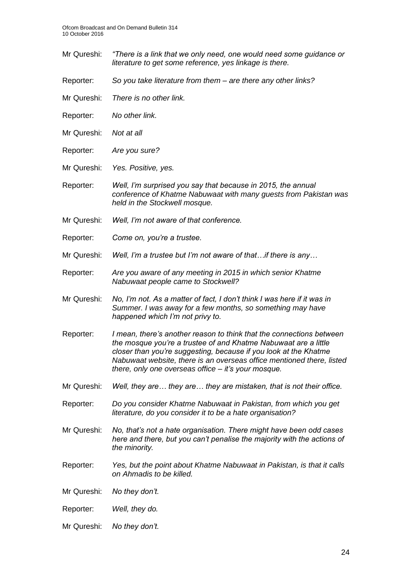- Mr Qureshi: *"There is a link that we only need, one would need some guidance or literature to get some reference, yes linkage is there.*
- Reporter: *So you take literature from them – are there any other links?*
- Mr Qureshi: *There is no other link.*
- Reporter: *No other link.*
- Mr Qureshi: *Not at all*
- Reporter: *Are you sure?*
- Mr Qureshi: *Yes. Positive, yes.*
- Reporter: *Well, I'm surprised you say that because in 2015, the annual conference of Khatme Nabuwaat with many guests from Pakistan was held in the Stockwell mosque.*
- Mr Qureshi: *Well, I'm not aware of that conference.*
- Reporter: *Come on, you're a trustee.*
- Mr Qureshi: *Well, I'm a trustee but I'm not aware of that…if there is any…*
- Reporter: *Are you aware of any meeting in 2015 in which senior Khatme Nabuwaat people came to Stockwell?*
- Mr Qureshi: *No, I'm not. As a matter of fact, I don't think I was here if it was in Summer. I was away for a few months, so something may have happened which I'm not privy to.*
- Reporter: *I mean, there's another reason to think that the connections between the mosque you're a trustee of and Khatme Nabuwaat are a little closer than you're suggesting, because if you look at the Khatme Nabuwaat website, there is an overseas office mentioned there, listed there, only one overseas office – it's your mosque.*
- Mr Qureshi: *Well, they are… they are… they are mistaken, that is not their office.*
- Reporter: *Do you consider Khatme Nabuwaat in Pakistan, from which you get literature, do you consider it to be a hate organisation?*
- Mr Qureshi: *No, that's not a hate organisation. There might have been odd cases here and there, but you can't penalise the majority with the actions of the minority.*
- Reporter: *Yes, but the point about Khatme Nabuwaat in Pakistan, is that it calls on Ahmadis to be killed.*
- Mr Qureshi: *No they don't.*
- Reporter: *Well, they do.*
- Mr Qureshi: *No they don't.*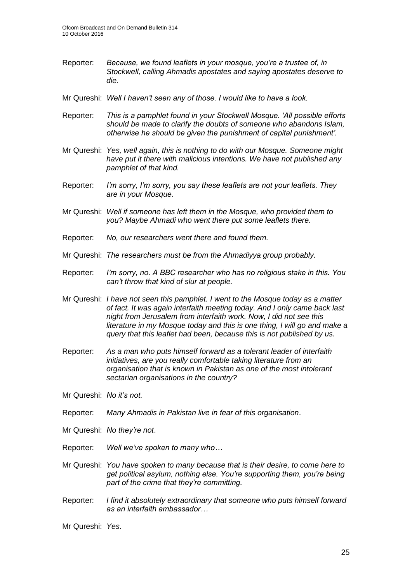- Reporter: *Because, we found leaflets in your mosque, you're a trustee of, in Stockwell, calling Ahmadis apostates and saying apostates deserve to die.*
- Mr Qureshi: *Well I haven't seen any of those. I would like to have a look.*
- Reporter: *This is a pamphlet found in your Stockwell Mosque. 'All possible efforts should be made to clarify the doubts of someone who abandons Islam, otherwise he should be given the punishment of capital punishment'.*
- Mr Qureshi: *Yes, well again, this is nothing to do with our Mosque. Someone might have put it there with malicious intentions. We have not published any pamphlet of that kind.*
- Reporter: *I'm sorry, I'm sorry, you say these leaflets are not your leaflets. They are in your Mosque*.
- Mr Qureshi: *Well if someone has left them in the Mosque, who provided them to you? Maybe Ahmadi who went there put some leaflets there.*
- Reporter: *No, our researchers went there and found them.*
- Mr Qureshi: *The researchers must be from the Ahmadiyya group probably.*
- Reporter: *I'm sorry, no. A BBC researcher who has no religious stake in this. You can't throw that kind of slur at people.*
- Mr Qureshi: *I have not seen this pamphlet. I went to the Mosque today as a matter of fact. It was again interfaith meeting today. And I only came back last night from Jerusalem from interfaith work. Now, I did not see this literature in my Mosque today and this is one thing, I will go and make a query that this leaflet had been, because this is not published by us.*
- Reporter: *As a man who puts himself forward as a tolerant leader of interfaith initiatives, are you really comfortable taking literature from an organisation that is known in Pakistan as one of the most intolerant sectarian organisations in the country?*
- Mr Qureshi: *No it's not.*
- Reporter: *Many Ahmadis in Pakistan live in fear of this organisation*.
- Mr Qureshi: *No they're not*.
- Reporter: *Well we've spoken to many who…*
- Mr Qureshi: *You have spoken to many because that is their desire, to come here to get political asylum, nothing else. You're supporting them, you're being part of the crime that they're committing.*
- Reporter: *I find it absolutely extraordinary that someone who puts himself forward as an interfaith ambassador…*
- Mr Qureshi: *Yes*.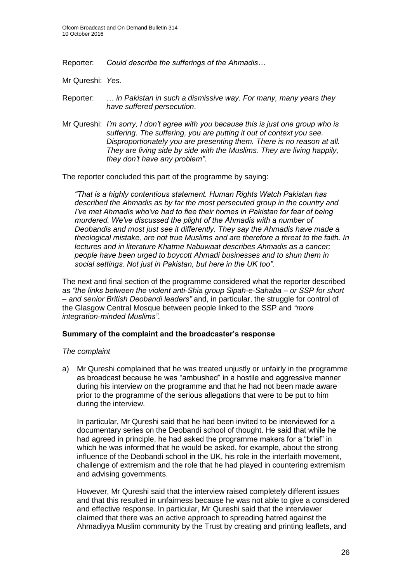Reporter: *Could describe the sufferings of the Ahmadis…*

Mr Qureshi: *Yes.*

- Reporter: … *in Pakistan in such a dismissive way. For many, many years they have suffered persecution*.
- Mr Qureshi: *I'm sorry, I don't agree with you because this is just one group who is suffering. The suffering, you are putting it out of context you see. Disproportionately you are presenting them. There is no reason at all. They are living side by side with the Muslims. They are living happily, they don't have any problem"*.

The reporter concluded this part of the programme by saying:

*"That is a highly contentious statement. Human Rights Watch Pakistan has described the Ahmadis as by far the most persecuted group in the country and I've met Ahmadis who've had to flee their homes in Pakistan for fear of being murdered. We've discussed the plight of the Ahmadis with a number of Deobandis and most just see it differently. They say the Ahmadis have made a theological mistake, are not true Muslims and are therefore a threat to the faith. In lectures and in literature Khatme Nabuwaat describes Ahmadis as a cancer; people have been urged to boycott Ahmadi businesses and to shun them in social settings. Not just in Pakistan, but here in the UK too".*

The next and final section of the programme considered what the reporter described as *"the links between the violent anti-Shia group Sipah-e-Sahaba – or SSP for short – and senior British Deobandi leaders"* and, in particular, the struggle for control of the Glasgow Central Mosque between people linked to the SSP and *"more integration-minded Muslims"*.

#### **Summary of the complaint and the broadcaster's response**

#### *The complaint*

a) Mr Qureshi complained that he was treated unjustly or unfairly in the programme as broadcast because he was "ambushed" in a hostile and aggressive manner during his interview on the programme and that he had not been made aware prior to the programme of the serious allegations that were to be put to him during the interview.

In particular, Mr Qureshi said that he had been invited to be interviewed for a documentary series on the Deobandi school of thought. He said that while he had agreed in principle, he had asked the programme makers for a "brief" in which he was informed that he would be asked, for example, about the strong influence of the Deobandi school in the UK, his role in the interfaith movement, challenge of extremism and the role that he had played in countering extremism and advising governments.

However, Mr Qureshi said that the interview raised completely different issues and that this resulted in unfairness because he was not able to give a considered and effective response. In particular, Mr Qureshi said that the interviewer claimed that there was an active approach to spreading hatred against the Ahmadiyya Muslim community by the Trust by creating and printing leaflets, and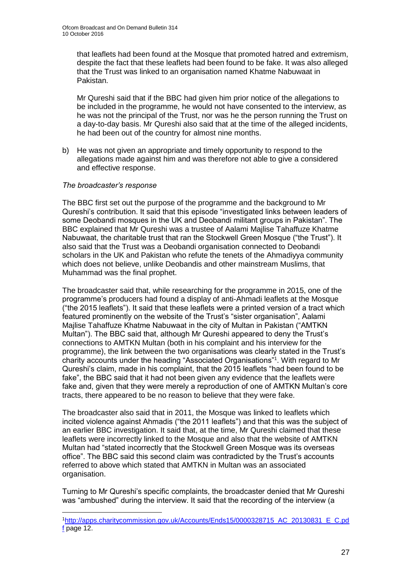that leaflets had been found at the Mosque that promoted hatred and extremism, despite the fact that these leaflets had been found to be fake. It was also alleged that the Trust was linked to an organisation named Khatme Nabuwaat in Pakistan.

Mr Qureshi said that if the BBC had given him prior notice of the allegations to be included in the programme, he would not have consented to the interview, as he was not the principal of the Trust, nor was he the person running the Trust on a day-to-day basis. Mr Qureshi also said that at the time of the alleged incidents, he had been out of the country for almost nine months.

b) He was not given an appropriate and timely opportunity to respond to the allegations made against him and was therefore not able to give a considered and effective response.

#### *The broadcaster's response*

1

The BBC first set out the purpose of the programme and the background to Mr Qureshi's contribution. It said that this episode "investigated links between leaders of some Deobandi mosques in the UK and Deobandi militant groups in Pakistan". The BBC explained that Mr Qureshi was a trustee of Aalami Majlise Tahaffuze Khatme Nabuwaat, the charitable trust that ran the Stockwell Green Mosque ("the Trust"). It also said that the Trust was a Deobandi organisation connected to Deobandi scholars in the UK and Pakistan who refute the tenets of the Ahmadiyya community which does not believe, unlike Deobandis and other mainstream Muslims, that Muhammad was the final prophet.

The broadcaster said that, while researching for the programme in 2015, one of the programme's producers had found a display of anti-Ahmadi leaflets at the Mosque ("the 2015 leaflets"). It said that these leaflets were a printed version of a tract which featured prominently on the website of the Trust's "sister organisation", Aalami Majlise Tahaffuze Khatme Nabuwaat in the city of Multan in Pakistan ("AMTKN Multan"). The BBC said that, although Mr Qureshi appeared to deny the Trust's connections to AMTKN Multan (both in his complaint and his interview for the programme), the link between the two organisations was clearly stated in the Trust's charity accounts under the heading "Associated Organisations"<sup>1</sup> . With regard to Mr Qureshi's claim, made in his complaint, that the 2015 leaflets "had been found to be fake", the BBC said that it had not been given any evidence that the leaflets were fake and, given that they were merely a reproduction of one of AMTKN Multan's core tracts, there appeared to be no reason to believe that they were fake.

The broadcaster also said that in 2011, the Mosque was linked to leaflets which incited violence against Ahmadis ("the 2011 leaflets") and that this was the subject of an earlier BBC investigation. It said that, at the time, Mr Qureshi claimed that these leaflets were incorrectly linked to the Mosque and also that the website of AMTKN Multan had "stated incorrectly that the Stockwell Green Mosque was its overseas office". The BBC said this second claim was contradicted by the Trust's accounts referred to above which stated that AMTKN in Multan was an associated organisation.

Turning to Mr Qureshi's specific complaints, the broadcaster denied that Mr Qureshi was "ambushed" during the interview. It said that the recording of the interview (a

<sup>1</sup>[http://apps.charitycommission.gov.uk/Accounts/Ends15/0000328715\\_AC\\_20130831\\_E\\_C.pd](http://apps.charitycommission.gov.uk/Accounts/Ends15/0000328715_AC_20130831_E_C.pdf) [f](http://apps.charitycommission.gov.uk/Accounts/Ends15/0000328715_AC_20130831_E_C.pdf) page 12.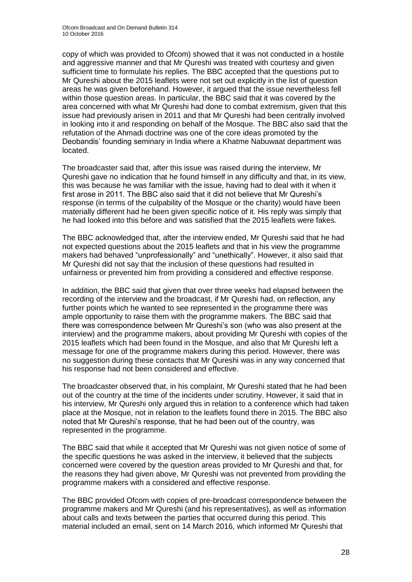copy of which was provided to Ofcom) showed that it was not conducted in a hostile and aggressive manner and that Mr Qureshi was treated with courtesy and given sufficient time to formulate his replies. The BBC accepted that the questions put to Mr Qureshi about the 2015 leaflets were not set out explicitly in the list of question areas he was given beforehand. However, it argued that the issue nevertheless fell within those question areas. In particular, the BBC said that it was covered by the area concerned with what Mr Qureshi had done to combat extremism, given that this issue had previously arisen in 2011 and that Mr Qureshi had been centrally involved in looking into it and responding on behalf of the Mosque. The BBC also said that the refutation of the Ahmadi doctrine was one of the core ideas promoted by the Deobandis' founding seminary in India where a Khatme Nabuwaat department was located.

The broadcaster said that, after this issue was raised during the interview, Mr Qureshi gave no indication that he found himself in any difficulty and that, in its view, this was because he was familiar with the issue, having had to deal with it when it first arose in 2011. The BBC also said that it did not believe that Mr Qureshi's response (in terms of the culpability of the Mosque or the charity) would have been materially different had he been given specific notice of it. His reply was simply that he had looked into this before and was satisfied that the 2015 leaflets were fakes.

The BBC acknowledged that, after the interview ended, Mr Qureshi said that he had not expected questions about the 2015 leaflets and that in his view the programme makers had behaved "unprofessionally" and "unethically". However, it also said that Mr Qureshi did not say that the inclusion of these questions had resulted in unfairness or prevented him from providing a considered and effective response.

In addition, the BBC said that given that over three weeks had elapsed between the recording of the interview and the broadcast, if Mr Qureshi had, on reflection, any further points which he wanted to see represented in the programme there was ample opportunity to raise them with the programme makers. The BBC said that there was correspondence between Mr Qureshi's son (who was also present at the interview) and the programme makers, about providing Mr Qureshi with copies of the 2015 leaflets which had been found in the Mosque, and also that Mr Qureshi left a message for one of the programme makers during this period. However, there was no suggestion during these contacts that Mr Qureshi was in any way concerned that his response had not been considered and effective.

The broadcaster observed that, in his complaint, Mr Qureshi stated that he had been out of the country at the time of the incidents under scrutiny. However, it said that in his interview, Mr Qureshi only argued this in relation to a conference which had taken place at the Mosque, not in relation to the leaflets found there in 2015. The BBC also noted that Mr Qureshi's response, that he had been out of the country, was represented in the programme.

The BBC said that while it accepted that Mr Qureshi was not given notice of some of the specific questions he was asked in the interview, it believed that the subjects concerned were covered by the question areas provided to Mr Qureshi and that, for the reasons they had given above, Mr Qureshi was not prevented from providing the programme makers with a considered and effective response.

The BBC provided Ofcom with copies of pre-broadcast correspondence between the programme makers and Mr Qureshi (and his representatives), as well as information about calls and texts between the parties that occurred during this period. This material included an email, sent on 14 March 2016, which informed Mr Qureshi that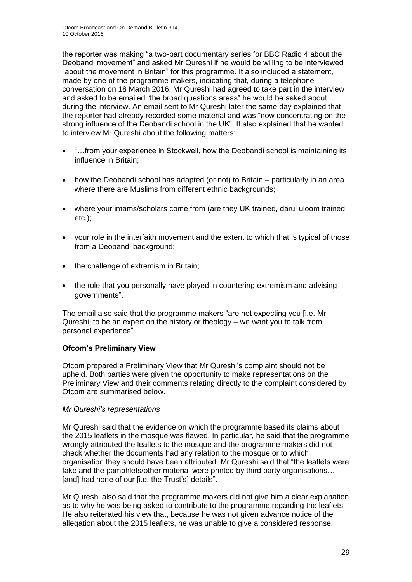the reporter was making "a two-part documentary series for BBC Radio 4 about the Deobandi movement" and asked Mr Qureshi if he would be willing to be interviewed "about the movement in Britain" for this programme. It also included a statement, made by one of the programme makers, indicating that, during a telephone conversation on 18 March 2016, Mr Qureshi had agreed to take part in the interview and asked to be emailed "the broad questions areas" he would be asked about during the interview. An email sent to Mr Qureshi later the same day explained that the reporter had already recorded some material and was "now concentrating on the strong influence of the Deobandi school in the UK". It also explained that he wanted to interview Mr Qureshi about the following matters:

- "…from your experience in Stockwell, how the Deobandi school is maintaining its influence in Britain;
- how the Deobandi school has adapted (or not) to Britain particularly in an area where there are Muslims from different ethnic backgrounds;
- where your imams/scholars come from (are they UK trained, darul uloom trained etc.);
- your role in the interfaith movement and the extent to which that is typical of those from a Deobandi background:
- the challenge of extremism in Britain;
- the role that you personally have played in countering extremism and advising governments".

The email also said that the programme makers "are not expecting you [i.e. Mr Qureshi] to be an expert on the history or theology – we want you to talk from personal experience".

#### **Ofcom's Preliminary View**

Ofcom prepared a Preliminary View that Mr Qureshi's complaint should not be upheld. Both parties were given the opportunity to make representations on the Preliminary View and their comments relating directly to the complaint considered by Ofcom are summarised below.

#### *Mr Qureshi's representations*

Mr Qureshi said that the evidence on which the programme based its claims about the 2015 leaflets in the mosque was flawed. In particular, he said that the programme wrongly attributed the leaflets to the mosque and the programme makers did not check whether the documents had any relation to the mosque or to which organisation they should have been attributed. Mr Qureshi said that "the leaflets were fake and the pamphlets/other material were printed by third party organisations... [and] had none of our [i.e. the Trust's] details".

Mr Qureshi also said that the programme makers did not give him a clear explanation as to why he was being asked to contribute to the programme regarding the leaflets. He also reiterated his view that, because he was not given advance notice of the allegation about the 2015 leaflets, he was unable to give a considered response.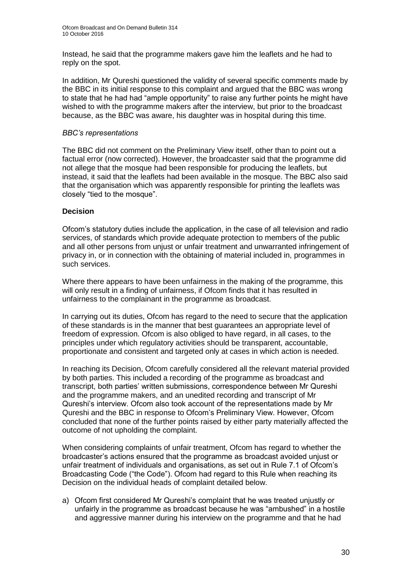Instead, he said that the programme makers gave him the leaflets and he had to reply on the spot.

In addition, Mr Qureshi questioned the validity of several specific comments made by the BBC in its initial response to this complaint and argued that the BBC was wrong to state that he had had "ample opportunity" to raise any further points he might have wished to with the programme makers after the interview, but prior to the broadcast because, as the BBC was aware, his daughter was in hospital during this time.

#### *BBC's representations*

The BBC did not comment on the Preliminary View itself, other than to point out a factual error (now corrected). However, the broadcaster said that the programme did not allege that the mosque had been responsible for producing the leaflets, but instead, it said that the leaflets had been available in the mosque. The BBC also said that the organisation which was apparently responsible for printing the leaflets was closely "tied to the mosque".

#### **Decision**

Ofcom's statutory duties include the application, in the case of all television and radio services, of standards which provide adequate protection to members of the public and all other persons from unjust or unfair treatment and unwarranted infringement of privacy in, or in connection with the obtaining of material included in, programmes in such services.

Where there appears to have been unfairness in the making of the programme, this will only result in a finding of unfairness, if Ofcom finds that it has resulted in unfairness to the complainant in the programme as broadcast.

In carrying out its duties, Ofcom has regard to the need to secure that the application of these standards is in the manner that best guarantees an appropriate level of freedom of expression. Ofcom is also obliged to have regard, in all cases, to the principles under which regulatory activities should be transparent, accountable, proportionate and consistent and targeted only at cases in which action is needed.

In reaching its Decision, Ofcom carefully considered all the relevant material provided by both parties. This included a recording of the programme as broadcast and transcript, both parties' written submissions, correspondence between Mr Qureshi and the programme makers, and an unedited recording and transcript of Mr Qureshi's interview. Ofcom also took account of the representations made by Mr Qureshi and the BBC in response to Ofcom's Preliminary View. However, Ofcom concluded that none of the further points raised by either party materially affected the outcome of not upholding the complaint.

When considering complaints of unfair treatment, Ofcom has regard to whether the broadcaster's actions ensured that the programme as broadcast avoided unjust or unfair treatment of individuals and organisations, as set out in Rule 7.1 of Ofcom's Broadcasting Code ("the Code"). Ofcom had regard to this Rule when reaching its Decision on the individual heads of complaint detailed below.

a) Ofcom first considered Mr Qureshi's complaint that he was treated unjustly or unfairly in the programme as broadcast because he was "ambushed" in a hostile and aggressive manner during his interview on the programme and that he had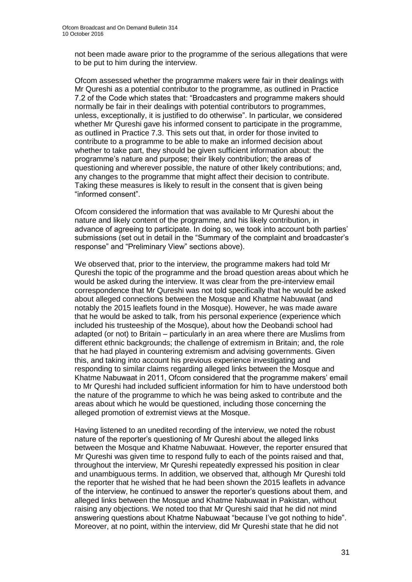not been made aware prior to the programme of the serious allegations that were to be put to him during the interview.

Ofcom assessed whether the programme makers were fair in their dealings with Mr Qureshi as a potential contributor to the programme, as outlined in Practice 7.2 of the Code which states that: "Broadcasters and programme makers should normally be fair in their dealings with potential contributors to programmes, unless, exceptionally, it is justified to do otherwise". In particular, we considered whether Mr Qureshi gave his informed consent to participate in the programme, as outlined in Practice 7.3. This sets out that, in order for those invited to contribute to a programme to be able to make an informed decision about whether to take part, they should be given sufficient information about: the programme's nature and purpose; their likely contribution; the areas of questioning and wherever possible, the nature of other likely contributions; and, any changes to the programme that might affect their decision to contribute. Taking these measures is likely to result in the consent that is given being "informed consent".

Ofcom considered the information that was available to Mr Qureshi about the nature and likely content of the programme, and his likely contribution, in advance of agreeing to participate. In doing so, we took into account both parties' submissions (set out in detail in the "Summary of the complaint and broadcaster's response" and "Preliminary View" sections above).

We observed that, prior to the interview, the programme makers had told Mr Qureshi the topic of the programme and the broad question areas about which he would be asked during the interview. It was clear from the pre-interview email correspondence that Mr Qureshi was not told specifically that he would be asked about alleged connections between the Mosque and Khatme Nabuwaat (and notably the 2015 leaflets found in the Mosque). However, he was made aware that he would be asked to talk, from his personal experience (experience which included his trusteeship of the Mosque), about how the Deobandi school had adapted (or not) to Britain – particularly in an area where there are Muslims from different ethnic backgrounds; the challenge of extremism in Britain; and, the role that he had played in countering extremism and advising governments. Given this, and taking into account his previous experience investigating and responding to similar claims regarding alleged links between the Mosque and Khatme Nabuwaat in 2011, Ofcom considered that the programme makers' email to Mr Qureshi had included sufficient information for him to have understood both the nature of the programme to which he was being asked to contribute and the areas about which he would be questioned, including those concerning the alleged promotion of extremist views at the Mosque.

Having listened to an unedited recording of the interview, we noted the robust nature of the reporter's questioning of Mr Qureshi about the alleged links between the Mosque and Khatme Nabuwaat. However, the reporter ensured that Mr Qureshi was given time to respond fully to each of the points raised and that, throughout the interview, Mr Qureshi repeatedly expressed his position in clear and unambiguous terms. In addition, we observed that, although Mr Qureshi told the reporter that he wished that he had been shown the 2015 leaflets in advance of the interview, he continued to answer the reporter's questions about them, and alleged links between the Mosque and Khatme Nabuwaat in Pakistan, without raising any objections. We noted too that Mr Qureshi said that he did not mind answering questions about Khatme Nabuwaat "because I've got nothing to hide". Moreover, at no point, within the interview, did Mr Qureshi state that he did not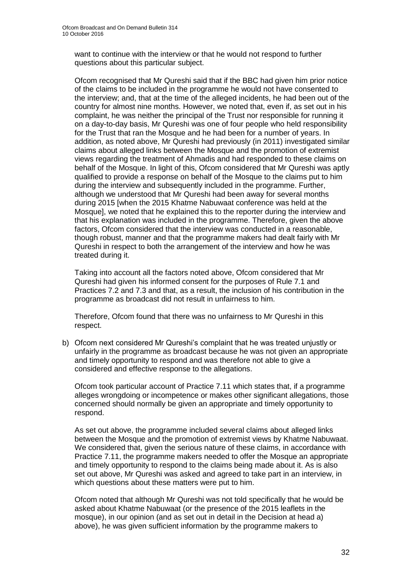want to continue with the interview or that he would not respond to further questions about this particular subject.

Ofcom recognised that Mr Qureshi said that if the BBC had given him prior notice of the claims to be included in the programme he would not have consented to the interview; and, that at the time of the alleged incidents, he had been out of the country for almost nine months. However, we noted that, even if, as set out in his complaint, he was neither the principal of the Trust nor responsible for running it on a day-to-day basis, Mr Qureshi was one of four people who held responsibility for the Trust that ran the Mosque and he had been for a number of years. In addition, as noted above, Mr Qureshi had previously (in 2011) investigated similar claims about alleged links between the Mosque and the promotion of extremist views regarding the treatment of Ahmadis and had responded to these claims on behalf of the Mosque. In light of this, Ofcom considered that Mr Qureshi was aptly qualified to provide a response on behalf of the Mosque to the claims put to him during the interview and subsequently included in the programme. Further, although we understood that Mr Qureshi had been away for several months during 2015 [when the 2015 Khatme Nabuwaat conference was held at the Mosque], we noted that he explained this to the reporter during the interview and that his explanation was included in the programme. Therefore, given the above factors, Ofcom considered that the interview was conducted in a reasonable, though robust, manner and that the programme makers had dealt fairly with Mr Qureshi in respect to both the arrangement of the interview and how he was treated during it.

Taking into account all the factors noted above, Ofcom considered that Mr Qureshi had given his informed consent for the purposes of Rule 7.1 and Practices 7.2 and 7.3 and that, as a result, the inclusion of his contribution in the programme as broadcast did not result in unfairness to him.

Therefore, Ofcom found that there was no unfairness to Mr Qureshi in this respect.

b) Ofcom next considered Mr Qureshi's complaint that he was treated unjustly or unfairly in the programme as broadcast because he was not given an appropriate and timely opportunity to respond and was therefore not able to give a considered and effective response to the allegations.

Ofcom took particular account of Practice 7.11 which states that, if a programme alleges wrongdoing or incompetence or makes other significant allegations, those concerned should normally be given an appropriate and timely opportunity to respond.

As set out above, the programme included several claims about alleged links between the Mosque and the promotion of extremist views by Khatme Nabuwaat. We considered that, given the serious nature of these claims, in accordance with Practice 7.11, the programme makers needed to offer the Mosque an appropriate and timely opportunity to respond to the claims being made about it. As is also set out above, Mr Qureshi was asked and agreed to take part in an interview, in which questions about these matters were put to him.

Ofcom noted that although Mr Qureshi was not told specifically that he would be asked about Khatme Nabuwaat (or the presence of the 2015 leaflets in the mosque), in our opinion (and as set out in detail in the Decision at head a) above), he was given sufficient information by the programme makers to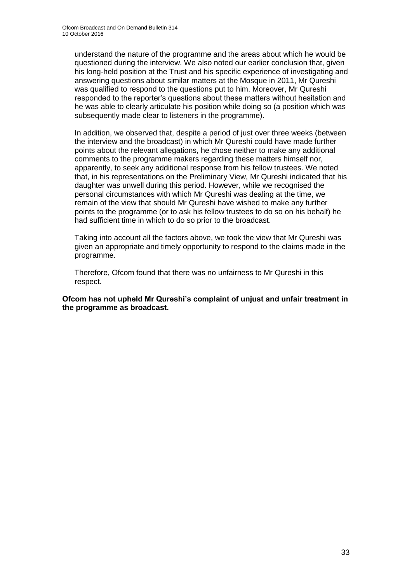understand the nature of the programme and the areas about which he would be questioned during the interview. We also noted our earlier conclusion that, given his long-held position at the Trust and his specific experience of investigating and answering questions about similar matters at the Mosque in 2011, Mr Qureshi was qualified to respond to the questions put to him. Moreover, Mr Qureshi responded to the reporter's questions about these matters without hesitation and he was able to clearly articulate his position while doing so (a position which was subsequently made clear to listeners in the programme).

In addition, we observed that, despite a period of just over three weeks (between the interview and the broadcast) in which Mr Qureshi could have made further points about the relevant allegations, he chose neither to make any additional comments to the programme makers regarding these matters himself nor, apparently, to seek any additional response from his fellow trustees. We noted that, in his representations on the Preliminary View, Mr Qureshi indicated that his daughter was unwell during this period. However, while we recognised the personal circumstances with which Mr Qureshi was dealing at the time, we remain of the view that should Mr Qureshi have wished to make any further points to the programme (or to ask his fellow trustees to do so on his behalf) he had sufficient time in which to do so prior to the broadcast.

Taking into account all the factors above, we took the view that Mr Qureshi was given an appropriate and timely opportunity to respond to the claims made in the programme.

Therefore, Ofcom found that there was no unfairness to Mr Qureshi in this respect.

**Ofcom has not upheld Mr Qureshi's complaint of unjust and unfair treatment in the programme as broadcast.**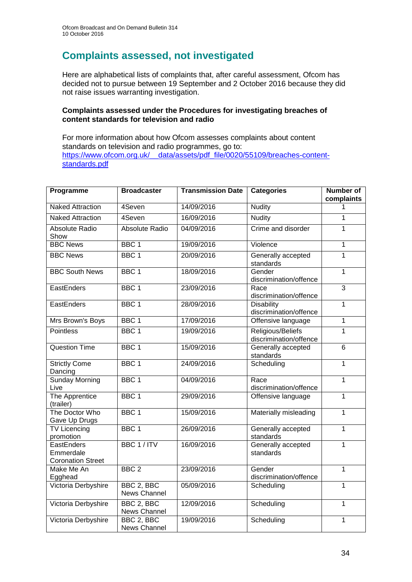# **Complaints assessed, not investigated**

Here are alphabetical lists of complaints that, after careful assessment, Ofcom has decided not to pursue between 19 September and 2 October 2016 because they did not raise issues warranting investigation.

#### **Complaints assessed under the Procedures for investigating breaches of content standards for television and radio**

For more information about how Ofcom assesses complaints about content standards on television and radio programmes, go to: [https://www.ofcom.org.uk/\\_\\_data/assets/pdf\\_file/0020/55109/breaches-content](https://www.ofcom.org.uk/__data/assets/pdf_file/0020/55109/breaches-content-standards.pdf)[standards.pdf](https://www.ofcom.org.uk/__data/assets/pdf_file/0020/55109/breaches-content-standards.pdf)

| Programme                                                  | <b>Broadcaster</b>                | <b>Transmission Date</b> | <b>Categories</b>                           | <b>Number of</b> |
|------------------------------------------------------------|-----------------------------------|--------------------------|---------------------------------------------|------------------|
| <b>Naked Attraction</b>                                    | 4Seven                            | 14/09/2016               | <b>Nudity</b>                               | complaints<br>1  |
|                                                            |                                   |                          |                                             |                  |
| <b>Naked Attraction</b>                                    | 4Seven                            | 16/09/2016               | <b>Nudity</b>                               | 1                |
| Absolute Radio<br>Show                                     | Absolute Radio                    | 04/09/2016               | Crime and disorder                          | 1                |
| <b>BBC News</b>                                            | BBC <sub>1</sub>                  | 19/09/2016               | Violence                                    | $\mathbf{1}$     |
| <b>BBC News</b>                                            | BBC <sub>1</sub>                  | 20/09/2016               | Generally accepted<br>standards             | $\overline{1}$   |
| <b>BBC South News</b>                                      | BBC <sub>1</sub>                  | 18/09/2016               | Gender<br>discrimination/offence            | $\overline{1}$   |
| EastEnders                                                 | BBC <sub>1</sub>                  | 23/09/2016               | Race<br>discrimination/offence              | $\overline{3}$   |
| EastEnders                                                 | BBC <sub>1</sub>                  | 28/09/2016               | <b>Disability</b><br>discrimination/offence | $\mathbf{1}$     |
| Mrs Brown's Boys                                           | BBC <sub>1</sub>                  | 17/09/2016               | Offensive language                          | $\mathbf{1}$     |
| <b>Pointless</b>                                           | BBC <sub>1</sub>                  | 19/09/2016               | Religious/Beliefs<br>discrimination/offence | $\overline{1}$   |
| <b>Question Time</b>                                       | BBC <sub>1</sub>                  | 15/09/2016               | Generally accepted<br>standards             | $\overline{6}$   |
| <b>Strictly Come</b><br>Dancing                            | BBC <sub>1</sub>                  | 24/09/2016               | Scheduling                                  | $\mathbf{1}$     |
| Sunday Morning<br>Live                                     | BBC <sub>1</sub>                  | 04/09/2016               | Race<br>discrimination/offence              | $\overline{1}$   |
| The Apprentice<br>(trailer)                                | BBC <sub>1</sub>                  | 29/09/2016               | Offensive language                          | $\overline{1}$   |
| The Doctor Who<br>Gave Up Drugs                            | BBC <sub>1</sub>                  | 15/09/2016               | Materially misleading                       | 1                |
| <b>TV Licencing</b><br>promotion                           | BBC <sub>1</sub>                  | 26/09/2016               | Generally accepted<br>standards             | $\mathbf{1}$     |
| <b>EastEnders</b><br>Emmerdale<br><b>Coronation Street</b> | BBC 1 / ITV                       | 16/09/2016               | Generally accepted<br>standards             | $\mathbf{1}$     |
| Make Me An<br>Egghead                                      | BBC <sub>2</sub>                  | 23/09/2016               | Gender<br>discrimination/offence            | $\mathbf{1}$     |
| Victoria Derbyshire                                        | BBC 2, BBC<br><b>News Channel</b> | 05/09/2016               | Scheduling                                  | $\mathbf{1}$     |
| Victoria Derbyshire                                        | BBC 2, BBC<br>News Channel        | 12/09/2016               | Scheduling                                  | $\mathbf{1}$     |
| Victoria Derbyshire                                        | BBC 2, BBC<br>News Channel        | 19/09/2016               | Scheduling                                  | 1                |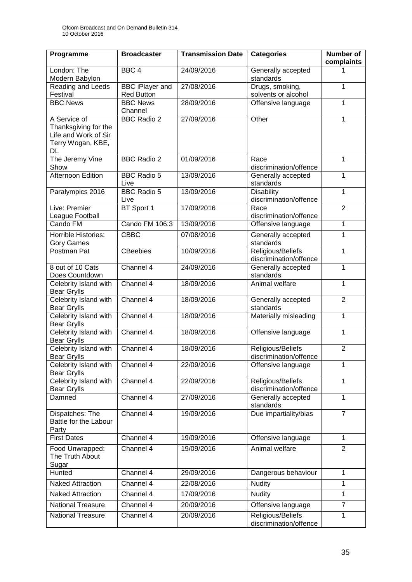| Programme                                                                               | <b>Broadcaster</b>                          | <b>Transmission Date</b> | <b>Categories</b>                           | <b>Number of</b><br>complaints |
|-----------------------------------------------------------------------------------------|---------------------------------------------|--------------------------|---------------------------------------------|--------------------------------|
| London: The<br>Modern Babylon                                                           | BBC <sub>4</sub>                            | 24/09/2016               | Generally accepted<br>standards             | 1                              |
| Reading and Leeds<br>Festival                                                           | <b>BBC</b> iPlayer and<br><b>Red Button</b> | 27/08/2016               | Drugs, smoking,<br>solvents or alcohol      | 1                              |
| <b>BBC News</b>                                                                         | <b>BBC News</b><br>Channel                  | 28/09/2016               | Offensive language                          | $\mathbf{1}$                   |
| A Service of<br>Thanksgiving for the<br>Life and Work of Sir<br>Terry Wogan, KBE,<br>DL | <b>BBC Radio 2</b>                          | 27/09/2016               | Other                                       | $\mathbf 1$                    |
| The Jeremy Vine<br>Show                                                                 | <b>BBC Radio 2</b>                          | 01/09/2016               | Race<br>discrimination/offence              | $\mathbf{1}$                   |
| <b>Afternoon Edition</b>                                                                | <b>BBC Radio 5</b><br>Live                  | 13/09/2016               | Generally accepted<br>standards             | $\mathbf{1}$                   |
| Paralympics 2016                                                                        | <b>BBC Radio 5</b><br>Live                  | 13/09/2016               | <b>Disability</b><br>discrimination/offence | $\overline{1}$                 |
| Live: Premier<br>League Football                                                        | BT Sport 1                                  | 17/09/2016               | Race<br>discrimination/offence              | $\overline{2}$                 |
| Cando FM                                                                                | Cando FM 106.3                              | 13/09/2016               | Offensive language                          | $\mathbf 1$                    |
| <b>Horrible Histories:</b><br><b>Gory Games</b>                                         | <b>CBBC</b>                                 | 07/08/2016               | Generally accepted<br>standards             | 1                              |
| Postman Pat                                                                             | <b>CBeebies</b>                             | 10/09/2016               | Religious/Beliefs<br>discrimination/offence | $\mathbf{1}$                   |
| 8 out of 10 Cats<br>Does Countdown                                                      | Channel 4                                   | 24/09/2016               | Generally accepted<br>standards             | 1                              |
| Celebrity Island with<br><b>Bear Grylls</b>                                             | Channel 4                                   | 18/09/2016               | Animal welfare                              | 1                              |
| Celebrity Island with<br><b>Bear Grylls</b>                                             | Channel 4                                   | 18/09/2016               | Generally accepted<br>standards             | $\overline{2}$                 |
| Celebrity Island with<br><b>Bear Grylls</b>                                             | Channel 4                                   | 18/09/2016               | Materially misleading                       | $\mathbf{1}$                   |
| Celebrity Island with<br><b>Bear Grylls</b>                                             | Channel 4                                   | 18/09/2016               | Offensive language                          | $\overline{1}$                 |
| Celebrity Island with<br><b>Bear Grylls</b>                                             | Channel 4                                   | 18/09/2016               | Religious/Beliefs<br>discrimination/offence | $\overline{2}$                 |
| Celebrity Island with<br><b>Bear Grylls</b>                                             | Channel 4                                   | 22/09/2016               | Offensive language                          | 1                              |
| Celebrity Island with<br><b>Bear Grylls</b>                                             | Channel 4                                   | 22/09/2016               | Religious/Beliefs<br>discrimination/offence | $\mathbf{1}$                   |
| Damned                                                                                  | Channel 4                                   | 27/09/2016               | Generally accepted<br>standards             | $\mathbf{1}$                   |
| Dispatches: The<br>Battle for the Labour<br>Party                                       | Channel 4                                   | 19/09/2016               | Due impartiality/bias                       | $\overline{7}$                 |
| <b>First Dates</b>                                                                      | Channel 4                                   | 19/09/2016               | Offensive language                          | $\mathbf{1}$                   |
| Food Unwrapped:<br>The Truth About<br>Sugar                                             | Channel 4                                   | 19/09/2016               | Animal welfare                              | $\overline{2}$                 |
| Hunted                                                                                  | Channel 4                                   | 29/09/2016               | Dangerous behaviour                         | 1                              |
| <b>Naked Attraction</b>                                                                 | Channel 4                                   | 22/08/2016               | <b>Nudity</b>                               | 1                              |
| <b>Naked Attraction</b>                                                                 | Channel 4                                   | 17/09/2016               | <b>Nudity</b>                               | $\mathbf{1}$                   |
| <b>National Treasure</b>                                                                | Channel 4                                   | 20/09/2016               | Offensive language                          | $\overline{7}$                 |
| <b>National Treasure</b>                                                                | Channel 4                                   | 20/09/2016               | Religious/Beliefs<br>discrimination/offence | 1                              |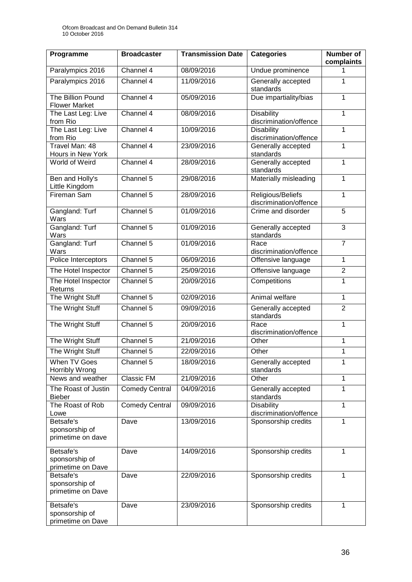| Programme                                        | <b>Broadcaster</b>    | <b>Transmission Date</b> | <b>Categories</b>                           | <b>Number of</b><br>complaints |
|--------------------------------------------------|-----------------------|--------------------------|---------------------------------------------|--------------------------------|
| Paralympics 2016                                 | Channel 4             | 08/09/2016               | Undue prominence                            | 1                              |
| Paralympics 2016                                 | Channel 4             | 11/09/2016               | Generally accepted<br>standards             | 1                              |
| The Billion Pound<br><b>Flower Market</b>        | Channel 4             | 05/09/2016               | Due impartiality/bias                       | 1                              |
| The Last Leg: Live<br>from Rio                   | Channel 4             | 08/09/2016               | <b>Disability</b><br>discrimination/offence | 1                              |
| The Last Leg: Live<br>from Rio                   | Channel 4             | 10/09/2016               | <b>Disability</b><br>discrimination/offence | 1                              |
| Travel Man: 48<br>Hours in New York              | Channel 4             | 23/09/2016               | Generally accepted<br>standards             | 1                              |
| World of Weird                                   | Channel 4             | 28/09/2016               | Generally accepted<br>standards             | 1                              |
| Ben and Holly's<br>Little Kingdom                | Channel 5             | 29/08/2016               | Materially misleading                       | $\mathbf{1}$                   |
| Fireman Sam                                      | Channel 5             | 28/09/2016               | Religious/Beliefs<br>discrimination/offence | 1                              |
| Gangland: Turf<br>Wars                           | Channel 5             | 01/09/2016               | Crime and disorder                          | $\overline{5}$                 |
| Gangland: Turf<br>Wars                           | Channel 5             | 01/09/2016               | Generally accepted<br>standards             | 3                              |
| Gangland: Turf<br>Wars                           | Channel 5             | 01/09/2016               | Race<br>discrimination/offence              | $\overline{7}$                 |
| Police Interceptors                              | Channel 5             | 06/09/2016               | Offensive language                          | 1                              |
| The Hotel Inspector                              | Channel 5             | 25/09/2016               | Offensive language                          | $\overline{2}$                 |
| The Hotel Inspector<br>Returns                   | Channel 5             | 20/09/2016               | Competitions                                | 1                              |
| The Wright Stuff                                 | Channel 5             | 02/09/2016               | Animal welfare                              | $\mathbf{1}$                   |
| The Wright Stuff                                 | Channel 5             | 09/09/2016               | Generally accepted<br>standards             | $\overline{2}$                 |
| The Wright Stuff                                 | Channel 5             | 20/09/2016               | Race<br>discrimination/offence              | 1                              |
| The Wright Stuff                                 | Channel 5             | 21/09/2016               | Other                                       | 1                              |
| The Wright Stuff                                 | Channel 5             | 22/09/2016               | Other                                       | 1                              |
| When TV Goes<br>Horribly Wrong                   | Channel 5             | 18/09/2016               | Generally accepted<br>standards             | 1                              |
| News and weather                                 | <b>Classic FM</b>     | 21/09/2016               | Other                                       | 1                              |
| The Roast of Justin<br><b>Bieber</b>             | <b>Comedy Central</b> | 04/09/2016               | Generally accepted<br>standards             | 1                              |
| The Roast of Rob<br>Lowe                         | <b>Comedy Central</b> | 09/09/2016               | <b>Disability</b><br>discrimination/offence | $\mathbf{1}$                   |
| Betsafe's<br>sponsorship of<br>primetime on dave | Dave                  | 13/09/2016               | Sponsorship credits                         | 1                              |
| Betsafe's<br>sponsorship of<br>primetime on Dave | Dave                  | 14/09/2016               | Sponsorship credits                         | 1                              |
| Betsafe's<br>sponsorship of<br>primetime on Dave | Dave                  | 22/09/2016               | Sponsorship credits                         | $\mathbf{1}$                   |
| Betsafe's<br>sponsorship of<br>primetime on Dave | Dave                  | 23/09/2016               | Sponsorship credits                         | 1                              |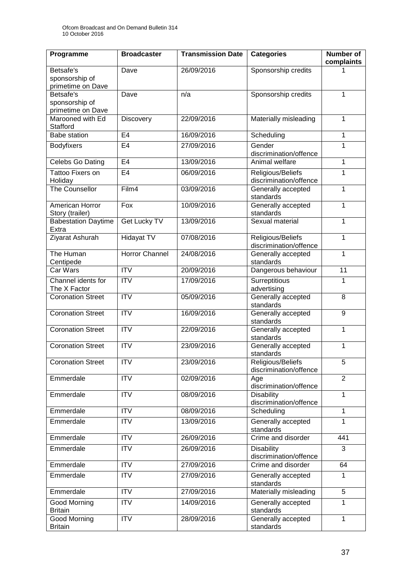| Programme                                        | <b>Broadcaster</b>    | <b>Transmission Date</b> | <b>Categories</b>                           | <b>Number of</b><br>complaints |
|--------------------------------------------------|-----------------------|--------------------------|---------------------------------------------|--------------------------------|
| Betsafe's<br>sponsorship of<br>primetime on Dave | Dave                  | 26/09/2016               | Sponsorship credits                         |                                |
| Betsafe's<br>sponsorship of<br>primetime on Dave | Dave                  | n/a                      | Sponsorship credits                         | 1                              |
| Marooned with Ed<br>Stafford                     | Discovery             | 22/09/2016               | Materially misleading                       | 1                              |
| Babe station                                     | E4                    | 16/09/2016               | Scheduling                                  | $\mathbf 1$                    |
| Bodyfixers                                       | E <sub>4</sub>        | 27/09/2016               | Gender<br>discrimination/offence            | 1                              |
| Celebs Go Dating                                 | E <sub>4</sub>        | 13/09/2016               | Animal welfare                              | 1                              |
| Tattoo Fixers on<br>Holiday                      | E <sub>4</sub>        | 06/09/2016               | Religious/Beliefs<br>discrimination/offence | 1                              |
| The Counsellor                                   | Film4                 | 03/09/2016               | Generally accepted<br>standards             | 1                              |
| American Horror<br>Story (trailer)               | $F_{OX}$              | 10/09/2016               | Generally accepted<br>standards             | 1                              |
| <b>Babestation Daytime</b><br>Extra              | Get Lucky TV          | 13/09/2016               | Sexual material                             | 1                              |
| Ziyarat Ashurah                                  | <b>Hidayat TV</b>     | 07/08/2016               | Religious/Beliefs<br>discrimination/offence | 1                              |
| The Human<br>Centipede                           | <b>Horror Channel</b> | 24/08/2016               | Generally accepted<br>standards             | 1                              |
| Car Wars                                         | <b>ITV</b>            | 20/09/2016               | Dangerous behaviour                         | 11                             |
| Channel idents for<br>The X Factor               | <b>ITV</b>            | 17/09/2016               | Surreptitious<br>advertising                | 1                              |
| <b>Coronation Street</b>                         | <b>ITV</b>            | 05/09/2016               | Generally accepted<br>standards             | 8                              |
| <b>Coronation Street</b>                         | <b>ITV</b>            | 16/09/2016               | Generally accepted<br>standards             | 9                              |
| <b>Coronation Street</b>                         | $\overline{ITV}$      | 22/09/2016               | Generally accepted<br>1<br>standards        |                                |
| <b>Coronation Street</b>                         | <b>ITV</b>            | 23/09/2016               | 1<br>Generally accepted<br>standards        |                                |
| <b>Coronation Street</b>                         | <b>ITV</b>            | 23/09/2016               | Religious/Beliefs<br>discrimination/offence | 5                              |
| Emmerdale                                        | $\overline{ITV}$      | 02/09/2016               | Age<br>discrimination/offence               | $\overline{2}$                 |
| Emmerdale                                        | $\overline{IV}$       | 08/09/2016               | <b>Disability</b><br>discrimination/offence | $\mathbf 1$                    |
| Emmerdale                                        | <b>ITV</b>            | 08/09/2016               | Scheduling                                  | 1                              |
| Emmerdale                                        | <b>ITV</b>            | 13/09/2016               | Generally accepted<br>standards             | 1                              |
| Emmerdale                                        | <b>ITV</b>            | 26/09/2016               | Crime and disorder                          | 441                            |
| Emmerdale                                        | $\overline{IV}$       | 26/09/2016               | <b>Disability</b><br>discrimination/offence | 3                              |
| Emmerdale                                        | <b>ITV</b>            | 27/09/2016               | Crime and disorder<br>64                    |                                |
| Emmerdale                                        | <b>ITV</b>            | 27/09/2016               | Generally accepted<br>standards             | 1                              |
| Emmerdale                                        | <b>ITV</b>            | 27/09/2016               | Materially misleading                       | 5                              |
| Good Morning<br><b>Britain</b>                   | <b>ITV</b>            | 14/09/2016               | Generally accepted<br>standards             | 1                              |
| <b>Good Morning</b><br><b>Britain</b>            | <b>ITV</b>            | 28/09/2016               | Generally accepted<br>standards             | 1                              |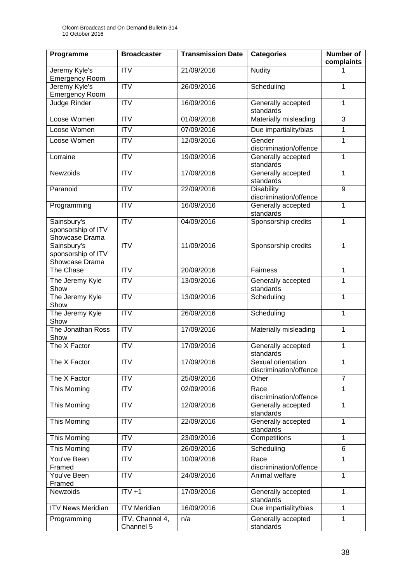| Programme                                           | <b>Broadcaster</b>           | <b>Transmission Date</b> | <b>Categories</b>                            | <b>Number of</b><br>complaints |
|-----------------------------------------------------|------------------------------|--------------------------|----------------------------------------------|--------------------------------|
| Jeremy Kyle's<br><b>Emergency Room</b>              | <b>ITV</b>                   | 21/09/2016               | <b>Nudity</b>                                | 1                              |
| Jeremy Kyle's<br><b>Emergency Room</b>              | <b>ITV</b>                   | 26/09/2016               | Scheduling                                   | 1                              |
| Judge Rinder                                        | <b>ITV</b>                   | 16/09/2016               | Generally accepted<br>standards              | 1                              |
| Loose Women                                         | <b>ITV</b>                   | 01/09/2016               | Materially misleading                        | 3                              |
| Loose Women                                         | $\overline{IV}$              | 07/09/2016               | Due impartiality/bias                        | 1                              |
| Loose Women                                         | <b>ITV</b>                   | 12/09/2016               | Gender<br>discrimination/offence             | 1                              |
| Lorraine                                            | <b>ITV</b>                   | 19/09/2016               | Generally accepted<br>standards              | $\mathbf{1}$                   |
| Newzoids                                            | <b>ITV</b>                   | 17/09/2016               | Generally accepted<br>standards              | 1                              |
| Paranoid                                            | <b>ITV</b>                   | 22/09/2016               | <b>Disability</b><br>discrimination/offence  | 9                              |
| Programming                                         | <b>ITV</b>                   | 16/09/2016               | Generally accepted<br>standards              | $\mathbf{1}$                   |
| Sainsbury's<br>sponsorship of ITV<br>Showcase Drama | <b>ITV</b>                   | 04/09/2016               | Sponsorship credits                          | 1                              |
| Sainsbury's<br>sponsorship of ITV<br>Showcase Drama | $\overline{ITV}$             | 11/09/2016               | Sponsorship credits                          | 1                              |
| The Chase                                           | <b>ITV</b>                   | 20/09/2016               | Fairness                                     | 1                              |
| The Jeremy Kyle<br>Show                             | <b>ITV</b>                   | 13/09/2016               | Generally accepted<br>standards              | 1                              |
| The Jeremy Kyle<br>Show                             | <b>ITV</b>                   | 13/09/2016               | Scheduling                                   | 1                              |
| The Jeremy Kyle<br>Show                             | <b>ITV</b>                   | 26/09/2016               | Scheduling                                   | $\mathbf{1}$                   |
| The Jonathan Ross<br>Show                           | $\overline{IV}$              | 17/09/2016               | Materially misleading                        | 1                              |
| The X Factor                                        | <b>ITV</b>                   | 17/09/2016               | Generally accepted<br>standards              | 1                              |
| The X Factor                                        | <b>ITV</b>                   | 17/09/2016               | Sexual orientation<br>discrimination/offence | 1                              |
| The X Factor                                        | <b>ITV</b>                   | 25/09/2016               | Other                                        | $\overline{7}$                 |
| This Morning                                        | <b>ITV</b>                   | 02/09/2016               | Race<br>discrimination/offence               | 1                              |
| This Morning                                        | <b>ITV</b>                   | 12/09/2016               | Generally accepted<br>standards              | 1                              |
| This Morning                                        | <b>ITV</b>                   | 22/09/2016               | Generally accepted<br>standards              | $\mathbf{1}$                   |
| This Morning                                        | <b>ITV</b>                   | 23/09/2016               | Competitions                                 | 1                              |
| <b>This Morning</b>                                 | <b>ITV</b>                   | 26/09/2016               | Scheduling                                   | 6                              |
| You've Been<br>Framed                               | <b>ITV</b>                   | 10/09/2016               | Race<br>discrimination/offence               | 1                              |
| You've Been<br>Framed                               | <b>ITV</b>                   | 24/09/2016               | Animal welfare                               | $\overline{1}$                 |
| Newzoids                                            | $ITV +1$                     | 17/09/2016               | Generally accepted<br>standards              | 1                              |
| <b>ITV News Meridian</b>                            | <b>ITV Meridian</b>          | 16/09/2016               | Due impartiality/bias                        | $\mathbf{1}$                   |
| Programming                                         | ITV, Channel 4,<br>Channel 5 | n/a                      | Generally accepted<br>standards              | $\mathbf{1}$                   |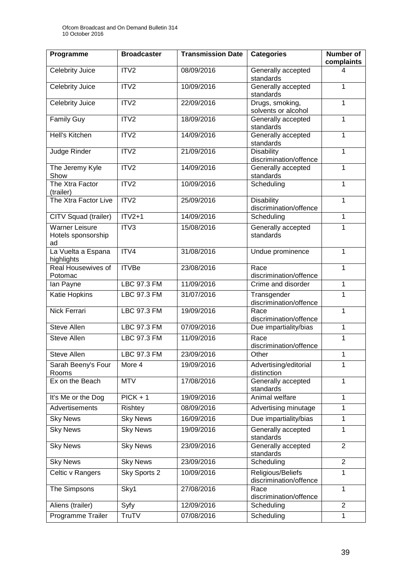| Programme                                         | <b>Broadcaster</b> | <b>Transmission Date</b> | <b>Categories</b>                           |                 |
|---------------------------------------------------|--------------------|--------------------------|---------------------------------------------|-----------------|
| Celebrity Juice                                   | ITV <sub>2</sub>   | 08/09/2016               | Generally accepted<br>standards             | complaints<br>4 |
| Celebrity Juice                                   | ITV <sub>2</sub>   | 10/09/2016               | Generally accepted<br>standards             | 1               |
| <b>Celebrity Juice</b>                            | ITV2               | 22/09/2016               | Drugs, smoking,<br>solvents or alcohol      | 1               |
| <b>Family Guy</b>                                 | ITV2               | 18/09/2016               | Generally accepted<br>standards             | 1               |
| Hell's Kitchen                                    | ITV2               | 14/09/2016               | Generally accepted<br>standards             | 1               |
| Judge Rinder                                      | ITV2               | 21/09/2016               | <b>Disability</b><br>discrimination/offence | 1               |
| The Jeremy Kyle<br>Show                           | ITV2               | 14/09/2016               | Generally accepted<br>standards             | 1               |
| The Xtra Factor<br>(trailer)                      | ITV2               | 10/09/2016               | Scheduling                                  | 1               |
| The Xtra Factor Live                              | ITV2               | 25/09/2016               | <b>Disability</b><br>discrimination/offence | 1               |
| CITV Squad (trailer)                              | $ITV2+1$           | 14/09/2016               | Scheduling                                  | 1               |
| <b>Warner Leisure</b><br>Hotels sponsorship<br>ad | ITV3               | 15/08/2016               | Generally accepted<br>standards             | 1               |
| La Vuelta a Espana<br>highlights                  | ITV4               | 31/08/2016               | Undue prominence                            | 1               |
| Real Housewives of<br>Potomac                     | <b>ITVBe</b>       | 23/08/2016               | Race<br>discrimination/offence              | 1               |
| lan Payne                                         | <b>LBC 97.3 FM</b> | 11/09/2016               | Crime and disorder                          | 1               |
| Katie Hopkins                                     | LBC 97.3 FM        | 31/07/2016               | Transgender<br>discrimination/offence       | $\mathbf{1}$    |
| <b>Nick Ferrari</b>                               | <b>LBC 97.3 FM</b> | 19/09/2016               | Race<br>discrimination/offence              | 1               |
| <b>Steve Allen</b>                                | LBC 97.3 FM        | 07/09/2016               | Due impartiality/bias                       | 1               |
| <b>Steve Allen</b>                                | <b>LBC 97.3 FM</b> | 11/09/2016               | Race<br>discrimination/offence              | 1               |
| Steve Allen                                       | LBC 97.3 FM        | 23/09/2016               | Other                                       | 1               |
| Sarah Beeny's Four<br>Rooms                       | More 4             | 19/09/2016               | Advertising/editorial<br>distinction        | 1               |
| Ex on the Beach                                   | <b>MTV</b>         | 17/08/2016               | Generally accepted<br>standards             | 1               |
| It's Me or the Dog                                | $PICK + 1$         | 19/09/2016               | Animal welfare                              | $\mathbf{1}$    |
| <b>Advertisements</b>                             | Rishtey            | 08/09/2016               | Advertising minutage                        | 1               |
| <b>Sky News</b>                                   | <b>Sky News</b>    | 16/09/2016               | Due impartiality/bias                       | $\mathbf{1}$    |
| <b>Sky News</b>                                   | <b>Sky News</b>    | 19/09/2016               | Generally accepted<br>standards             | 1               |
| <b>Sky News</b>                                   | <b>Sky News</b>    | 23/09/2016               | Generally accepted<br>standards             | $\overline{2}$  |
| <b>Sky News</b>                                   | <b>Sky News</b>    | 23/09/2016               | Scheduling                                  | $\overline{2}$  |
| Celtic v Rangers                                  | Sky Sports 2       | 10/09/2016               | Religious/Beliefs<br>discrimination/offence | $\mathbf{1}$    |
| The Simpsons                                      | Sky1               | 27/08/2016               | Race<br>discrimination/offence              | $\mathbf{1}$    |
| Aliens (trailer)                                  | Syfy               | 12/09/2016               | Scheduling                                  | $\overline{2}$  |
| Programme Trailer                                 | TruTV              | 07/08/2016               | Scheduling                                  | 1               |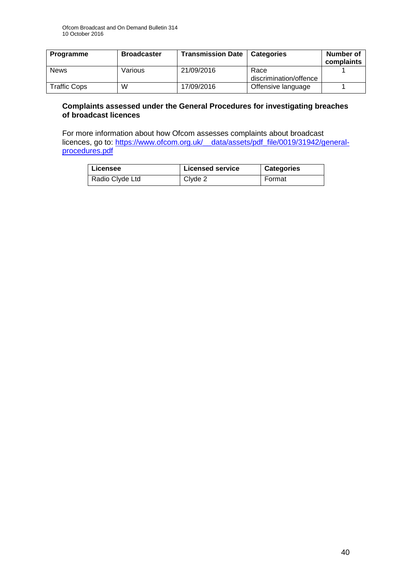| Programme           | <b>Broadcaster</b> | <b>Transmission Date</b> | l Categories                   | Number of<br>complaints |
|---------------------|--------------------|--------------------------|--------------------------------|-------------------------|
| <b>News</b>         | Various            | 21/09/2016               | Race<br>discrimination/offence |                         |
| <b>Traffic Cops</b> | W                  | 17/09/2016               | Offensive language             |                         |

#### **Complaints assessed under the General Procedures for investigating breaches of broadcast licences**

For more information about how Ofcom assesses complaints about broadcast licences, go to: https://www.ofcom.org.uk/ data/assets/pdf file/0019/31942/general[procedures.pdf](https://www.ofcom.org.uk/__data/assets/pdf_file/0019/31942/general-procedures.pdf)

| Licensee        | <b>Licensed service</b> | <b>Categories</b> |
|-----------------|-------------------------|-------------------|
| Radio Clyde Ltd | Clyde 2                 | Format            |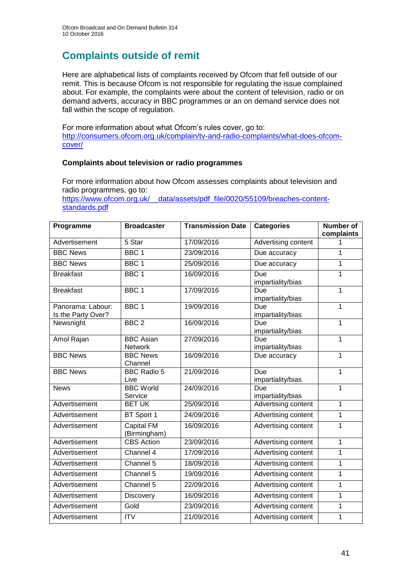# **Complaints outside of remit**

Here are alphabetical lists of complaints received by Ofcom that fell outside of our remit. This is because Ofcom is not responsible for regulating the issue complained about. For example, the complaints were about the content of television, radio or on demand adverts, accuracy in BBC programmes or an on demand service does not fall within the scope of regulation.

For more information about what Ofcom's rules cover, go to: [http://consumers.ofcom.org.uk/complain/tv-and-radio-complaints/what-does-ofcom](http://consumers.ofcom.org.uk/complain/tv-and-radio-complaints/what-does-ofcom-cover/)[cover/](http://consumers.ofcom.org.uk/complain/tv-and-radio-complaints/what-does-ofcom-cover/)

#### **Complaints about television or radio programmes**

For more information about how Ofcom assesses complaints about television and radio programmes, go to:

[https://www.ofcom.org.uk/\\_\\_data/assets/pdf\\_file/0020/55109/breaches-content](https://www.ofcom.org.uk/__data/assets/pdf_file/0020/55109/breaches-content-standards.pdf)[standards.pdf](https://www.ofcom.org.uk/__data/assets/pdf_file/0020/55109/breaches-content-standards.pdf)

| Programme          | <b>Broadcaster</b> | <b>Transmission Date</b> | <b>Categories</b>   | <b>Number of</b> |
|--------------------|--------------------|--------------------------|---------------------|------------------|
|                    |                    |                          |                     | complaints       |
| Advertisement      | 5 Star             | 17/09/2016               | Advertising content | 1                |
| <b>BBC News</b>    | BBC <sub>1</sub>   | 23/09/2016               | Due accuracy        | 1                |
| <b>BBC News</b>    | BBC <sub>1</sub>   | 25/09/2016               | Due accuracy        | 1                |
| <b>Breakfast</b>   | BBC <sub>1</sub>   | 16/09/2016               | Due                 | 1                |
|                    |                    |                          | impartiality/bias   |                  |
| <b>Breakfast</b>   | BBC <sub>1</sub>   | 17/09/2016               | Due                 | 1                |
|                    |                    |                          | impartiality/bias   |                  |
| Panorama: Labour:  | BBC <sub>1</sub>   | 19/09/2016               | Due                 | 1                |
| Is the Party Over? |                    |                          | impartiality/bias   |                  |
| Newsnight          | BBC <sub>2</sub>   | 16/09/2016               | Due                 | 1                |
|                    |                    |                          | impartiality/bias   |                  |
| Amol Rajan         | <b>BBC</b> Asian   | 27/09/2016               | Due                 | 1                |
|                    | <b>Network</b>     |                          | impartiality/bias   |                  |
| <b>BBC News</b>    | <b>BBC News</b>    | 16/09/2016               | Due accuracy        | 1                |
|                    | Channel            |                          |                     |                  |
| <b>BBC News</b>    | <b>BBC Radio 5</b> | 21/09/2016               | Due                 | 1                |
|                    | Live               |                          | impartiality/bias   |                  |
| <b>News</b>        | <b>BBC World</b>   | 24/09/2016               | Due                 | 1                |
|                    | Service            |                          | impartiality/bias   |                  |
| Advertisement      | <b>BET UK</b>      | 25/09/2016               | Advertising content | 1                |
| Advertisement      | BT Sport 1         | 24/09/2016               | Advertising content | 1                |
| Advertisement      | <b>Capital FM</b>  | 16/09/2016               | Advertising content | 1                |
|                    | (Birmingham)       |                          |                     |                  |
| Advertisement      | <b>CBS</b> Action  | 23/09/2016               | Advertising content | $\mathbf 1$      |
| Advertisement      | Channel 4          | 17/09/2016               | Advertising content | 1                |
| Advertisement      | Channel 5          | 18/09/2016               | Advertising content | 1                |
| Advertisement      | Channel 5          | 19/09/2016               | Advertising content | 1                |
| Advertisement      | Channel 5          | 22/09/2016               | Advertising content | 1                |
| Advertisement      | <b>Discovery</b>   | 16/09/2016               | Advertising content | 1                |
| Advertisement      | Gold               | 23/09/2016               | Advertising content | 1                |
| Advertisement      | <b>ITV</b>         | 21/09/2016               | Advertising content | 1                |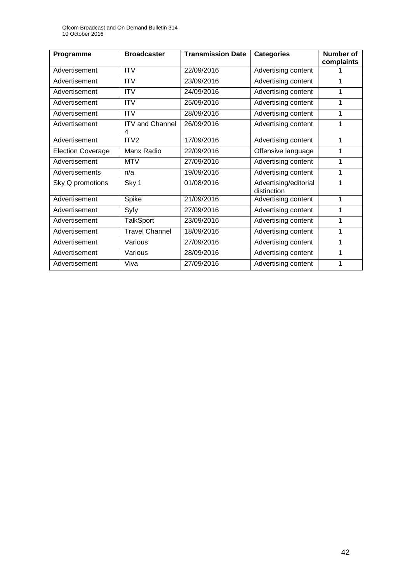| Programme                | <b>Broadcaster</b>          | <b>Transmission Date</b> | <b>Categories</b>                    | <b>Number of</b><br>complaints |
|--------------------------|-----------------------------|--------------------------|--------------------------------------|--------------------------------|
| Advertisement            | <b>ITV</b>                  | 22/09/2016               | Advertising content                  |                                |
| Advertisement            | <b>ITV</b>                  | 23/09/2016               | Advertising content                  |                                |
| Advertisement            | <b>ITV</b>                  | 24/09/2016               | Advertising content                  | 1                              |
| Advertisement            | <b>ITV</b>                  | 25/09/2016               | Advertising content                  | 1                              |
| Advertisement            | <b>ITV</b>                  | 28/09/2016               | Advertising content                  | 1                              |
| Advertisement            | <b>ITV and Channel</b><br>4 | 26/09/2016               | Advertising content                  | 1                              |
| Advertisement            | ITV <sub>2</sub>            | 17/09/2016               | Advertising content                  | 1                              |
| <b>Election Coverage</b> | Manx Radio                  | 22/09/2016               | Offensive language                   | 1                              |
| Advertisement            | <b>MTV</b>                  | 27/09/2016               | Advertising content                  | 1                              |
| Advertisements           | n/a                         | 19/09/2016               | Advertising content                  | 1                              |
| Sky Q promotions         | Sky 1                       | 01/08/2016               | Advertising/editorial<br>distinction | 1                              |
| Advertisement            | Spike                       | 21/09/2016               | Advertising content                  | 1                              |
| Advertisement            | Syfy                        | 27/09/2016               | Advertising content                  | 1                              |
| Advertisement            | <b>TalkSport</b>            | 23/09/2016               | Advertising content                  | 1                              |
| Advertisement            | <b>Travel Channel</b>       | 18/09/2016               | Advertising content                  | 1                              |
| Advertisement            | Various                     | 27/09/2016               | Advertising content                  | 1                              |
| Advertisement            | Various                     | 28/09/2016               | Advertising content                  | 1                              |
| Advertisement            | Viva                        | 27/09/2016               | Advertising content                  | 1                              |